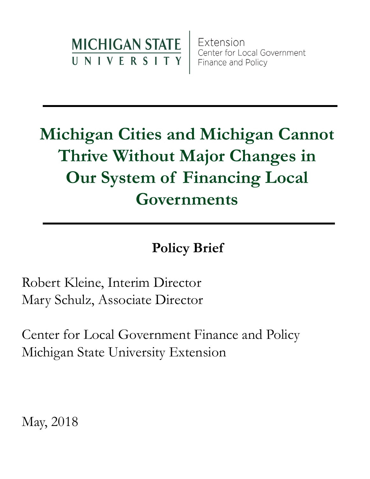

Extension Center for Local Government Finance and Policy

## **Michigan Cities and Michigan Cannot Thrive Without Major Changes in Our System of Financing Local Governments**

### **Policy Brief**

Robert Kleine, Interim Director Mary Schulz, Associate Director

Center for Local Government Finance and Policy Michigan State University Extension

May, 2018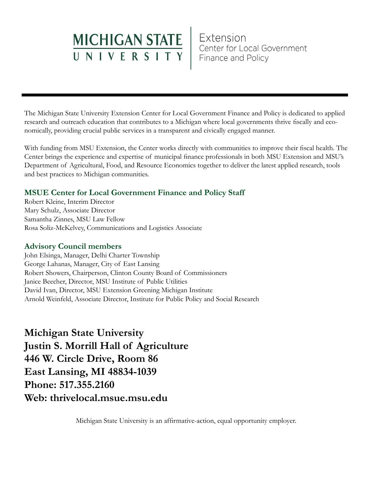# MICHIGAN STATE Extension<br>UNIVERSITY Finance and Policy

The Michigan State University Extension Center for Local Government Finance and Policy is dedicated to applied research and outreach education that contributes to a Michigan where local governments thrive fiscally and economically, providing crucial public services in a transparent and civically engaged manner.

With funding from MSU Extension, the Center works directly with communities to improve their fiscal health. The Center brings the experience and expertise of municipal finance professionals in both MSU Extension and MSU's Department of Agricultural, Food, and Resource Economics together to deliver the latest applied research, tools and best practices to Michigan communities.

#### **MSUE Center for Local Government Finance and Policy Staff**

Robert Kleine, Interim Director Mary Schulz, Associate Director Samantha Zinnes, MSU Law Fellow Rosa Soliz-McKelvey, Communications and Logistics Associate

#### **Advisory Council members**

John Elsinga, Manager, Delhi Charter Township George Lahanas, Manager, City of East Lansing Robert Showers, Chairperson, Clinton County Board of Commissioners Janice Beecher, Director, MSU Institute of Public Utilities David Ivan, Director, MSU Extension Greening Michigan Institute Arnold Weinfeld, Associate Director, Institute for Public Policy and Social Research

**Michigan State University Justin S. Morrill Hall of Agriculture 446 W. Circle Drive, Room 86 East Lansing, MI 48834-1039 Phone: 517.355.2160 Web: thrivelocal.msue.msu.edu**

Michigan State University is an affirmative-action, equal opportunity employer.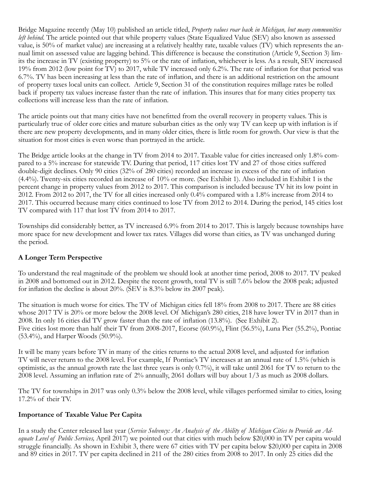Bridge Magazine recently (May 10) published an article titled, *Property values roar back in Michigan, but many communities left behind*. The article pointed out that while property values (State Equalized Value (SEV) also known as assessed value, is 50% of market value) are increasing at a relatively healthy rate, taxable values (TV) which represents the annual limit on assessed value are lagging behind. This difference is because the constitution (Article 9, Section 3) limits the increase in TV (existing property) to 5% or the rate of inflation, whichever is less. As a result, SEV increased 19% from 2012 (low point for TV) to 2017, while TV increased only 6.2%. The rate of inflation for that period was 6.7%. TV has been increasing at less than the rate of inflation, and there is an additional restriction on the amount of property taxes local units can collect. Article 9, Section 31 of the constitution requires millage rates be rolled back if property tax values increase faster than the rate of inflation. This insures that for many cities property tax collections will increase less than the rate of inflation.

The article points out that many cities have not benefitted from the overall recovery in property values. This is particularly true of older core cities and mature suburban cities as the only way TV can keep up with inflation is if there are new property developments, and in many older cities, there is little room for growth. Our view is that the situation for most cities is even worse than portrayed in the article.

The Bridge article looks at the change in TV from 2014 to 2017. Taxable value for cities increased only 1.8% compared to a 5% increase for statewide TV. During that period, 117 cities lost TV and 27 of those cities suffered double-digit declines. Only 90 cities (32% of 280 cities) recorded an increase in excess of the rate of inflation (4.4%). Twenty-six cities recorded an increase of 10% or more. (See Exhibit 1). Also included in Exhibit 1 is the percent change in property values from 2012 to 2017. This comparison is included because TV hit its low point in 2012. From 2012 to 2017, the TV for all cities increased only 0.4% compared with a 1.8% increase from 2014 to 2017. This occurred because many cities continued to lose TV from 2012 to 2014. During the period, 145 cities lost TV compared with 117 that lost TV from 2014 to 2017.

Townships did considerably better, as TV increased 6.9% from 2014 to 2017. This is largely because townships have more space for new development and lower tax rates. Villages did worse than cities, as TV was unchanged during the period.

#### **A Longer Term Perspective**

To understand the real magnitude of the problem we should look at another time period, 2008 to 2017. TV peaked in 2008 and bottomed out in 2012. Despite the recent growth, total TV is still 7.6% below the 2008 peak; adjusted for inflation the decline is about 20%. (SEV is 8.3% below its 2007 peak).

The situation is much worse for cities. The TV of Michigan cities fell 18% from 2008 to 2017. There are 88 cities whose 2017 TV is 20% or more below the 2008 level. Of Michigan's 280 cities, 218 have lower TV in 2017 than in 2008. In only 16 cities did TV grow faster than the rate of inflation (13.8%). (See Exhibit 2). Five cities lost more than half their TV from 2008-2017, Ecorse (60.9%), Flint (56.5%), Luna Pier (55.2%), Pontiac (53.4%), and Harper Woods (50.9%).

It will be many years before TV in many of the cities returns to the actual 2008 level, and adjusted for inflation TV will never return to the 2008 level. For example, If Pontiac's TV increases at an annual rate of 1.5% (which is optimistic, as the annual growth rate the last three years is only 0.7%), it will take until 2061 for TV to return to the 2008 level. Assuming an inflation rate of 2% annually, 2061 dollars will buy about 1/3 as much as 2008 dollars.

The TV for townships in 2017 was only 0.3% below the 2008 level, while villages performed similar to cities, losing 17.2% of their TV.

#### **Importance of Taxable Value Per Capita**

In a study the Center released last year (*Service Solvency: An Analysis of the Ability of Michigan Cities to Provide an Adequate Level of Public Services,* April 2017) we pointed out that cities with much below \$20,000 in TV per capita would struggle financially. As shown in Exhibit 3, there were 67 cities with TV per capita below \$20,000 per capita in 2008 and 89 cities in 2017. TV per capita declined in 211 of the 280 cities from 2008 to 2017. In only 25 cities did the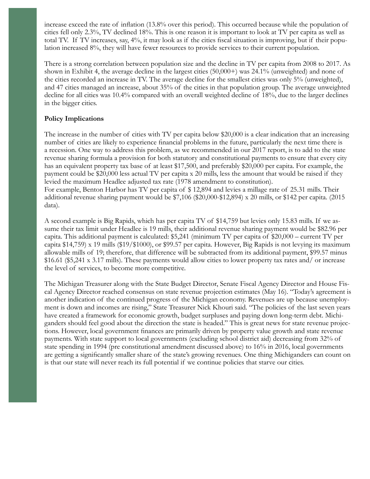increase exceed the rate of inflation (13.8% over this period). This occurred because while the population of cities fell only 2.3%, TV declined 18%. This is one reason it is important to look at TV per capita as well as total TV. If TV increases, say, 4%, it may look as if the cities fiscal situation is improving, but if their population increased 8%, they will have fewer resources to provide services to their current population.

There is a strong correlation between population size and the decline in TV per capita from 2008 to 2017. As shown in Exhibit 4, the average decline in the largest cities (50,000+) was 24.1% (unweighted) and none of the cities recorded an increase in TV. The average decline for the smallest cities was only 5% (unweighted), and 47 cities managed an increase, about 35% of the cities in that population group. The average unweighted decline for all cities was 10.4% compared with an overall weighted decline of 18%, due to the larger declines in the bigger cities.

#### **Policy Implications**

The increase in the number of cities with TV per capita below \$20,000 is a clear indication that an increasing number of cities are likely to experience financial problems in the future, particularly the next time there is a recession. One way to address this problem, as we recommended in our 2017 report, is to add to the state revenue sharing formula a provision for both statutory and constitutional payments to ensure that every city has an equivalent property tax base of at least \$17,500, and preferably \$20,000 per capita. For example, the payment could be \$20,000 less actual TV per capita x 20 mills, less the amount that would be raised if they levied the maximum Headlee adjusted tax rate (1978 amendment to constitution). For example, Benton Harbor has TV per capita of \$ 12,894 and levies a millage rate of 25.31 mills. Their additional revenue sharing payment would be \$7,106 (\$20,000-\$12,894) x 20 mills, or \$142 per capita. (2015 data).

A second example is Big Rapids, which has per capita TV of \$14,759 but levies only 15.83 mills. If we assume their tax limit under Headlee is 19 mills, their additional revenue sharing payment would be \$82.96 per capita. This additional payment is calculated: \$5,241 (minimum TV per capita of \$20,000 – current TV per capita \$14,759) x 19 mills (\$19/\$1000), or \$99.57 per capita. However, Big Rapids is not levying its maximum allowable mills of 19; therefore, that difference will be subtracted from its additional payment, \$99.57 minus \$16.61 (\$5,241 x 3.17 mills). These payments would allow cities to lower property tax rates and/ or increase the level of services, to become more competitive.

The Michigan Treasurer along with the State Budget Director, Senate Fiscal Agency Director and House Fiscal Agency Director reached consensus on state revenue projection estimates (May 16). "Today's agreement is another indication of the continued progress of the Michigan economy. Revenues are up because unemployment is down and incomes are rising," State Treasurer Nick Khouri said. "The policies of the last seven years have created a framework for economic growth, budget surpluses and paying down long-term debt. Michiganders should feel good about the direction the state is headed." This is great news for state revenue projections. However, local government finances are primarily driven by property value growth and state revenue payments. With state support to local governments (excluding school district aid) decreasing from 32% of state spending in 1994 (pre constitutional amendment discussed above) to 16% in 2016, local governments are getting a significantly smaller share of the state's growing revenues. One thing Michiganders can count on is that our state will never reach its full potential if we continue policies that starve our cities.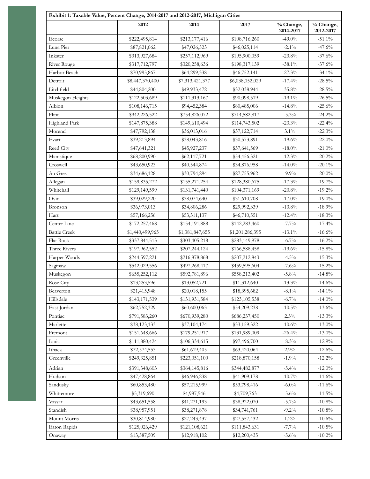| Exhibit 1: Taxable Value, Percent Change, 2014-2017 and 2012-2017, Michigan Cities |                 |                 |                 |                        |                        |
|------------------------------------------------------------------------------------|-----------------|-----------------|-----------------|------------------------|------------------------|
|                                                                                    | 2012            | 2014            | 2017            | % Change,<br>2014-2017 | % Change,<br>2012-2017 |
| Ecorse                                                                             | \$222,495,814   | \$213,177,416   | \$108,716,260   | $-49.0\%$              | $-51.1\%$              |
| Luna Pier                                                                          | \$87,821,062    | \$47,026,523    | \$46,025,114    | $-2.1\%$               | $-47.6%$               |
| Inkster                                                                            | \$313,927,684   | \$257,112,969   | \$195,900,059   | $-23.8%$               | $-37.6%$               |
| River Rouge                                                                        | \$317,712,797   | \$320,258,636   | \$198,317,139   | $-38.1\%$              | $-37.6%$               |
| Harbor Beach                                                                       | \$70,995,867    | \$64,299,338    | \$46,752,141    | $-27.3%$               | $-34.1\%$              |
| Detroit                                                                            | \$8,447,370,400 | \$7,313,421,377 | \$6,038,052,029 | $-17.4%$               | $-28.5\%$              |
| Litchfield                                                                         | \$44,804,200    | \$49,933,472    | \$32,038,944    | $-35.8%$               | $-28.5\%$              |
| Muskegon Heights                                                                   | \$122,503,689   | \$111,313,167   | \$90,098,519    | $-19.1\%$              | $-26.5\%$              |
| Albion                                                                             | \$108,146,715   | \$94,452,384    | \$80,485,006    | $-14.8%$               | $-25.6%$               |
| Flint                                                                              | \$942,226,522   | \$754,826,072   | \$714,582,817   | $-5.3\%$               | $-24.2%$               |
| Highland Park                                                                      | \$147,875,388   | \$149,610,494   | \$114,743,502   | $-23.3%$               | $-22.4%$               |
| Morenci                                                                            | \$47,792,138    | \$36,013,016    | \$37,122,714    | $3.1\%$                | $-22.3%$               |
| Evart                                                                              | \$39,213,894    | \$38,043,816    | \$30,573,891    | $-19.6%$               | $-22.0%$               |
| Reed City                                                                          | \$47,641,321    | \$45,927,237    | \$37,641,569    | $-18.0\%$              | $-21.0%$               |
| Manistique                                                                         | \$68,200,990    | \$62,117,721    | \$54,456,321    | $-12.3%$               | $-20.2%$               |
| Croswell                                                                           | \$43,650,923    | \$40,544,874    | \$34,876,958    | $-14.0%$               | $-20.1\%$              |
| Au Gres                                                                            | \$34,686,128    | \$30,794,294    | \$27,755,962    | $-9.9\%$               | $-20.0\%$              |
| Allegan                                                                            | \$159,835,272   | \$155,271,254   | \$128,380,675   | $-17.3%$               | $-19.7%$               |
| Whitehall                                                                          | \$129,149,599   | \$131,741,440   | \$104,371,169   | $-20.8%$               | $-19.2%$               |
| Ovid                                                                               | \$39,029,220    | \$38,074,640    | \$31,610,708    | $-17.0\%$              | $-19.0\%$              |
| Bronson                                                                            | \$36,973,013    | \$34,806,286    | \$29,992,339    | $-13.8\%$              | $-18.9%$               |
| Hart                                                                               | \$57,166,256    | \$53,311,137    | \$46,710,551    | $-12.4%$               | $-18.3\%$              |
| Center Line                                                                        |                 |                 |                 | $-7.7\%$               | $-17.4%$               |
| <b>Battle Creek</b>                                                                | \$172,257,468   | \$154,191,888   | \$142,283,460   |                        |                        |
|                                                                                    | \$1,440,499,965 | \$1,381,847,655 | \$1,201,286,395 | $-13.1\%$              | $-16.6%$               |
| Flat Rock                                                                          | \$337,844,513   | \$303,405,218   | \$283,149,978   | $-6.7\%$               | $-16.2%$               |
| Three Rivers                                                                       | \$197,962,552   | \$207,244,124   | \$166,588,458   | $-19.6%$               | $-15.8%$               |
| Harper Woods                                                                       | \$244,597,221   | \$216,878,868   | \$207,212,843   | $-4.5\%$               | $-15.3\%$              |
| Saginaw                                                                            | \$542,029,556   | \$497,268,417   | \$459,595,604   | $-7.6%$                | $-15.2%$               |
| $\operatorname{Muskegon}$                                                          | \$655,252,112   | \$592,781,896   | \$558,213,402   | $-5.8\%$               | $-14.8%$               |
| Rose City                                                                          | \$13,253,596    | \$13,052,721    | \$11,312,640    | $-13.3\%$              | $-14.6\%$              |
| Beaverton                                                                          | \$21,415,948    | \$20,018,155    | \$18,395,682    | $-8.1\%$               | $-14.1\%$              |
| Hillsdale                                                                          | \$143,171,539   | \$131,931,584   | \$123,105,538   | $-6.7\%$               | $-14.0\%$              |
| East Jordan                                                                        | \$62,752,329    | \$60,600,063    | \$54,209,238    | $-10.5\%$              | $-13.6%$               |
| Pontiac                                                                            | \$791,583,260   | \$670,939,280   | \$686,237,450   | 2.3%                   | $-13.3\%$              |
| Marlette                                                                           | \$38,123,133    | \$37,104,174    | \$33,159,322    | $-10.6%$               | $-13.0\%$              |
| Fremont                                                                            | \$151,648,666   | \$179,251,917   | \$131,989,009   | $-26.4%$               | $-13.0\%$              |
| Ionia                                                                              | \$111,880,424   | \$106,334,615   | \$97,496,700    | $-8.3\%$               | $-12.9%$               |
| Ithaca                                                                             | \$72,574,553    | \$61,619,405    | \$63,420,064    | 2.9%                   | $-12.6%$               |
| Greenville                                                                         | \$249,325,851   | \$223,051,100   | \$218,870,158   | $-1.9\%$               | $-12.2\%$              |
| Adrian                                                                             | \$391,348,603   | \$364,145,816   | \$344,482,877   | $-5.4%$                | $-12.0\%$              |
| Hudson                                                                             | \$47,428,864    | \$46,946,238    | \$41,909,178    | $-10.7\%$              | $-11.6%$               |
| Sandusky                                                                           | \$60,853,480    | \$57,215,999    | \$53,798,416    | $-6.0\%$               | $-11.6%$               |
| Whittemore                                                                         | \$5,319,690     | \$4,987,546     | \$4,709,763     | $-5.6\%$               | $-11.5\%$              |
| Vassar                                                                             | \$43,651,558    | \$41,271,193    | \$38,922,070    | $-5.7\%$               | $-10.8\%$              |
| Standish                                                                           | \$38,957,951    | \$38,271,878    | \$34,741,761    | $-9.2\%$               | $-10.8\%$              |
| Mount Morris                                                                       | \$30,814,980    | \$27,243,437    | \$27,557,432    | $1.2\%$                | $-10.6%$               |
| Eaton Rapids                                                                       | \$125,026,429   | \$121,108,621   | \$111,843,631   | $-7.7%$                | $\text{-}10.5\%$       |
| Onaway                                                                             | \$13,587,509    | \$12,918,102    | \$12,200,435    | $-5.6\%$               | $-10.2\%$              |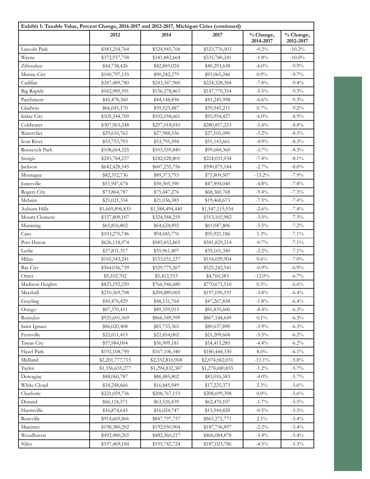| Exhibit 1: Taxable Value, Percent Change, 2014-2017 and 2012-2017, Michigan Cities (continued) |                 |                 |                 |                        |                        |
|------------------------------------------------------------------------------------------------|-----------------|-----------------|-----------------|------------------------|------------------------|
|                                                                                                | 2012            | 2014            | 2017            | % Change,<br>2014-2017 | % Change,<br>2012-2017 |
| Lincoln Park                                                                                   | \$583,254,764   | \$524,945,768   | \$523,776,503   | $-0.2%$                | $-10.2%$               |
| Wayne                                                                                          | \$372,937,758   | \$341,882,664   | \$335,780,241   | $-1.8%$                | $-10.0\%$              |
| Zilwaukee                                                                                      | \$44,738,426    | \$42,869,024    | \$40,293,658    | $-6.0\%$               | $-9.9\%$               |
| Marine City                                                                                    | \$100,797,155   | \$90,242,279    | \$91,065,246    | 0.9%                   | $-9.7%$                |
| Cadillac                                                                                       | \$247,489,780   | \$243,347,960   | \$224,328,384   | $-7.8%$                | $-9.4\%$               |
| <b>Big Rapids</b>                                                                              | \$162,989,591   | \$156,378,863   | \$147,770,354   | $-5.5\%$               | $-9.3\%$               |
| Parchment                                                                                      | \$45,478,360    | \$44,148,858    | \$41,245,998    | $-6.6%$                | $-9.3%$                |
| Gladwin                                                                                        | \$66,045,170    | \$59,523,487    | \$59,945,211    | 0.7%                   | $-9.2\%$               |
| <b>Imlay City</b>                                                                              | \$105,344,700   | \$102,058,661   | \$95,954,427    | $-6.0\%$               | $-8.9\%$               |
| Coldwater                                                                                      | \$307,963,248   | \$297,018,010   | \$280,857,253   | $-5.4%$                | $-8.8\%$               |
| Watervliet                                                                                     | \$29,610,762    | \$27,988,536    | \$27,101,090    | $-3.2\%$               | $-8.5\%$               |
| Iron River                                                                                     | \$55,753,793    | \$53,795,594    | \$51,143,661    | $-4.9%$                | $-8.3\%$               |
| Roosevelt Park                                                                                 | \$108,664,325   | \$103,559,840   | \$99,684,360    | $-3.7%$                | $-8.3\%$               |
| Sturgis                                                                                        | \$243,784,237   | \$242,028,801   | \$224,031,034   | $-7.4%$                | $-8.1\%$               |
| Jackson                                                                                        | \$642,428,545   | \$607,235,756   | \$590,875,184   | $-2.7\%$               | $-8.0\%$               |
| Montague                                                                                       | \$82,352,736    | \$89,373,793    | \$75,809,507    | $-15.2%$               | $-7.9%$                |
| Jonesville                                                                                     | \$51,947,674    | \$50,305,390    | \$47,894,040    | $-4.8%$                | $-7.8%$                |
| Rogers City                                                                                    | \$73,864,787    | \$75,447,276    | \$68,360,768    | $-9.4%$                | $-7.5%$                |
| Mcbain                                                                                         | \$21,021,334    | \$21,036,385    | \$19,468,673    | $-7.5\%$               | $-7.4%$                |
| Auburn Hills                                                                                   | \$1,669,896,835 | \$1,588,494,440 | \$1,547,115,934 | $-2.6%$                | $-7.4%$                |
| Mount Clemens                                                                                  | \$337,809,107   | \$324,588,259   | \$313,102,982   | $-3.5\%$               | $-7.3%$                |
| Munising                                                                                       | \$65,816,802    | \$64,624,892    | \$61,047,806    | $-5.5\%$               | $-7.2%$                |
| Caro                                                                                           | \$103,270,746   | \$94,685,776    | \$95,921,186    | 1.3%                   | $-7.1\%$               |
| Port Huron                                                                                     | \$626,118,974   | \$585,852,865   | \$581,829,214   | $-0.7\%$               | $-7.1\%$               |
| Leslie                                                                                         | \$37,831,317    | \$35,961,407    | \$35,161,340    | $-2.2%$                | $-7.1\%$               |
| Milan                                                                                          | \$165,543,241   | \$153,051,237   | \$154,029,904   | $0.6\%$                | $-7.0\%$               |
| Bay City                                                                                       | \$564,036,739   | \$529,775,267   | \$525,242,541   | $-0.9%$                | $-6.9\%$               |
| Omer                                                                                           | \$5,102,702     | \$5,412,553     | \$4,760,583     | $-12.0\%$              | $-6.7\%$               |
| Madison Heights                                                                                | \$825,192,250   | \$766,946,680   | \$770,671,510   | 0.5%                   | $-6.6%$                |
| Marshall                                                                                       | \$210,569,708   | \$204,889,069   | \$197,050,191   | $-3.8\%$               | $-6.4%$                |
| Grayling                                                                                       | \$50,476,429    | \$48,151,764    | \$47,267,838    | $-1.8%$                | $-6.4%$                |
| Otsego                                                                                         | \$87,370,411    | \$89,359,915    | \$81,835,606    | $-8.4%$                | $-6.3%$                |
| Romulus                                                                                        | \$925,601,369   | \$866,549,599   | \$867,144,649   | $0.1\%$                | $-6.3\%$               |
| Saint Ignace                                                                                   | \$86,020,408    | \$85,733,365    | \$80,637,890    | $-5.9\%$               | $-6.3\%$               |
| Fennville                                                                                      | \$22,611,415    | \$22,454,002    | \$21,209,668    | $-5.5\%$               | $-6.2\%$               |
| Tawas City                                                                                     | \$57,984,004    | \$56,909,181    | \$54,415,285    | $-4.4%$                | $-6.2\%$               |
| Hazel Park                                                                                     | \$192,108,790   | \$167,106,340   | \$180,444,330   | $8.0\%$                | $-6.1\%$               |
| Midland                                                                                        | \$2,201,777,715 | \$2,332,816,968 | \$2,074,062,031 | $-11.1\%$              | $-5.8\%$               |
| Taylor                                                                                         | \$1,356,655,277 | \$1,294,832,387 | \$1,278,680,855 | $-1.2\%$               | $-5.7\%$               |
| Dowagiac                                                                                       | \$88,060,787    | \$86,485,802    | \$83,016,583    | $-4.0%$                | $-5.7\%$               |
| White Cloud                                                                                    | \$18,248,666    | \$16,845,949    | \$17,225,373    | 2.3%                   | $-5.6\%$               |
| Charlotte                                                                                      | \$221,059,736   | \$208,767,153   | \$208,699,398   | $0.0\%$                | $-5.6%$                |
| Durand                                                                                         | \$66,118,571    | \$63,526,439    | \$62,470,107    | $-1.7%$                | $-5.5\%$               |
| Harrisville                                                                                    | \$16,874,645    | \$16,024,747    | \$15,944,820    | $-0.5%$                | $-5.5\%$               |
| Roseville                                                                                      | \$914,669,866   | \$847,797,757   | \$865,272,771   | $2.1\%$                | $-5.4%$                |
| Manistee                                                                                       | \$198,380,202   | \$192,050,904   | \$187,736,897   | $-2.2%$                | $-5.4\%$               |
| Woodhaven                                                                                      | \$492,480,265   | \$482,360,217   | \$466,084,878   | $-3.4\%$               | $-5.4\%$               |
| Niles                                                                                          | \$197,469,184   | \$195,742,724   | \$187,023,786   | $-4.5\%$               | $-5.3\%$               |
|                                                                                                |                 |                 |                 |                        |                        |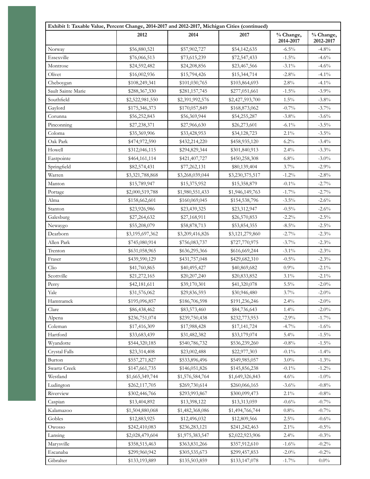| Exhibit 1: Taxable Value, Percent Change, 2014-2017 and 2012-2017, Michigan Cities (continued) |                 |                 |                 |                        |                        |
|------------------------------------------------------------------------------------------------|-----------------|-----------------|-----------------|------------------------|------------------------|
|                                                                                                | 2012            | 2014            | 2017            | % Change,<br>2014-2017 | % Change,<br>2012-2017 |
| Norway                                                                                         | \$56,880,521    | \$57,902,727    | \$54,142,635    | $-6.5%$                | $-4.8%$                |
| Essexville                                                                                     | \$76,066,513    | \$73,615,239    | \$72,547,433    | $-1.5\%$               | $-4.6%$                |
| Montrose                                                                                       | \$24,592,482    | \$24,208,856    | \$23,467,566    | $-3.1\%$               | $-4.6%$                |
| Olivet                                                                                         | \$16,002,936    | \$15,794,426    | \$15,344,714    | $-2.8%$                | $-4.1\%$               |
| Cheboygan                                                                                      | \$108,249,341   | \$101,030,765   | \$103,864,693   | 2.8%                   | $-4.1\%$               |
| Sault Sainte Marie                                                                             | \$288,367,330   | \$281,157,745   | \$277,051,661   | $-1.5\%$               | $-3.9\%$               |
| Southfield                                                                                     | \$2,522,981,550 | \$2,391,992,576 | \$2,427,593,700 | $1.5\%$                | $-3.8\%$               |
| Gaylord                                                                                        | \$175,346,373   | \$170,057,849   | \$168,873,062   | $-0.7%$                | $-3.7\%$               |
| Corunna                                                                                        | \$56,252,843    | \$56,369,944    | \$54,255,287    | $-3.8\%$               | $-3.6\%$               |
| Pinconning                                                                                     | \$27,238,371    | \$27,966,630    | \$26,273,601    | $-6.1\%$               | $-3.5\%$               |
| Coloma                                                                                         | \$35,369,906    | \$33,428,953    | \$34,128,723    | $2.1\%$                | $-3.5\%$               |
| Oak Park                                                                                       | \$474,972,590   | \$432,214,220   | \$458,935,120   | 6.2%                   | $-3.4\%$               |
| Howell                                                                                         | \$312,046,115   | \$294,829,344   | \$301,840,913   | 2.4%                   | $-3.3\%$               |
| Eastpointe                                                                                     | \$464,161,114   | \$421,407,727   | \$450,258,308   | 6.8%                   | $-3.0\%$               |
| Springfield                                                                                    | \$82,574,431    | \$77,262,131    | \$80,139,404    | 3.7%                   | $-2.9\%$               |
| Warren                                                                                         | \$3,321,788,868 | \$3,268,039,044 | \$3,230,375,517 | $-1.2%$                | $-2.8%$                |
| Manton                                                                                         | \$15,789,947    | \$15,375,952    | \$15,358,879    | $-0.1\%$               | $-2.7\%$               |
| Portage                                                                                        | \$2,000,519,788 | \$1,980,551,433 | \$1,946,149,763 | $-1.7%$                | $-2.7\%$               |
| Alma                                                                                           | \$158,662,601   | \$160,069,045   | \$154,538,796   | $-3.5\%$               | $-2.6\%$               |
| Stanton                                                                                        | \$23,926,986    | \$23,439,325    | \$23,312,947    | $-0.5%$                | $-2.6\%$               |
| Galesburg                                                                                      | \$27,264,632    | \$27,168,911    | \$26,570,853    | $-2.2%$                | $-2.5\%$               |
| Newaygo                                                                                        | \$55,208,079    | \$58,878,713    | \$53,854,355    | $-8.5\%$               | $-2.5%$                |
| Dearborn                                                                                       | \$3,195,697,362 | \$3,209,416,826 | \$3,121,279,860 | $-2.7%$                | $-2.3\%$               |
| Allen Park                                                                                     | \$745,080,914   | \$756,083,737   | \$727,770,975   | $-3.7%$                | $-2.3\%$               |
| Trenton                                                                                        | \$631,058,965   | \$636,295,366   | \$616,669,244   | $-3.1\%$               | $-2.3\%$               |
| Fraser                                                                                         | \$439,590,129   | \$431,757,048   | \$429,682,310   | $-0.5%$                | $-2.3\%$               |
| Clio                                                                                           | \$41,760,865    | \$40,495,427    | \$40,869,682    | 0.9%                   | $-2.1\%$               |
| Scottville                                                                                     | \$21,272,165    | \$20,207,240    | \$20,833,852    | $3.1\%$                | $-2.1\%$               |
| Perry                                                                                          | \$42,181,611    | \$39,170,301    | \$41,320,078    | $5.5\%$                | $-2.0\%$               |
| Yale                                                                                           | \$31,576,062    | \$29,836,593    | \$30,946,480    | $3.7\%$                | $-2.0\%$               |
| Hamtramck                                                                                      | \$195,096,857   | \$186,706,598   | \$191,236,246   | 2.4%                   | $-2.0\%$               |
| Clare                                                                                          | \$86,438,462    | \$83,573,460    | \$84,736,643    | 1.4%                   | $-2.0\%$               |
| Alpena                                                                                         | \$236,751,074   | \$239,750,438   | \$232,773,953   | $-2.9\%$               | $-1.7\%$               |
| Coleman                                                                                        | \$17,416,309    | \$17,988,428    | \$17,141,724    | $-4.7%$                | $-1.6%$                |
| Hartford                                                                                       | \$33,683,439    | \$31,482,382    | \$33,179,074    | 5.4%                   | $-1.5\%$               |
| Wyandotte                                                                                      | \$544,320,185   | \$540,786,732   | \$536,239,260   | $-0.8%$                | $-1.5\%$               |
| Crystal Falls                                                                                  | \$23,314,408    | \$23,002,488    | \$22,977,303    | $-0.1\%$               | $-1.4\%$               |
| Burton                                                                                         | \$557,271,827   | \$533,896,496   | \$549,985,057   | $3.0\%$                | $-1.3%$                |
| Swartz Creek                                                                                   | \$147,661,735   | \$146,051,826   | \$145,856,238   | $-0.1\%$               | $-1.2\%$               |
| Westland                                                                                       | \$1,665,349,744 | \$1,576,584,764 | \$1,649,326,843 | 4.6%                   | $-1.0\%$               |
| Ludington                                                                                      | \$262,117,705   | \$269,730,614   | \$260,066,165   | $-3.6\%$               | $-0.8\%$               |
| Riverview                                                                                      | \$302,446,766   | \$293,993,867   | \$300,099,473   | $2.1\%$                | $-0.8\%$               |
| Caspian                                                                                        | \$13,404,892    | \$13,398,122    | \$13,313,059    | $-0.6%$                | $-0.7\%$               |
| Kalamazoo                                                                                      | \$1,504,880,068 | \$1,482,368,086 | \$1,494,766,744 | 0.8%                   | $-0.7\%$               |
| Gobles                                                                                         | \$12,883,925    | \$12,496,032    | \$12,809,566    | $2.5\%$                | $-0.6\%$               |
| Owosso                                                                                         | \$242,410,083   | \$236,283,121   | \$241,242,463   | $2.1\%$                | $-0.5\%$               |
| Lansing                                                                                        | \$2,028,479,604 | \$1,975,383,547 | \$2,022,923,906 | 2.4%                   | $-0.3%$                |
| Marysville                                                                                     | \$358,515,463   | \$363,831,266   | \$357,912,610   | $-1.6%$                | $-0.2\%$               |
| Escanaba                                                                                       | \$299,960,942   | \$305,535,673   | \$299,457,853   | $-2.0\%$               | $-0.2\%$               |
| Gibralter                                                                                      | \$133,193,889   | \$135,503,859   | \$133,147,078   | $-1.7\%$               | $0.0\%$                |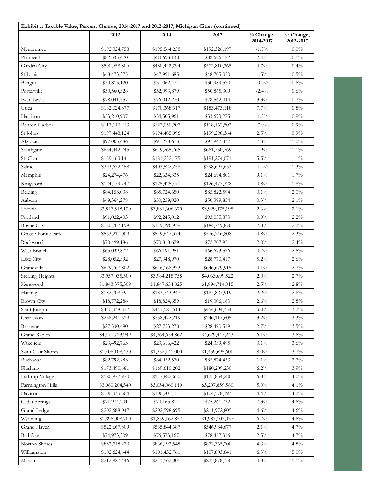| Exhibit 1: Taxable Value, Percent Change, 2014-2017 and 2012-2017, Michigan Cities (continued) |                 |                 |                 |                        |                        |
|------------------------------------------------------------------------------------------------|-----------------|-----------------|-----------------|------------------------|------------------------|
|                                                                                                | 2012            | 2014            | 2017            | % Change,<br>2014-2017 | % Change,<br>2012-2017 |
| Menominee                                                                                      | \$192,324,758   | \$195,564,258   | \$192,326,197   | $-1.7\%$               | $0.0\%$                |
| Plainwell                                                                                      | \$82,535,670    | \$80,693,138    | \$82,626,172    | 2.4%                   | $0.1\%$                |
| Garden City                                                                                    | \$500,658,806   | \$480,442,294   | \$502,810,365   | 4.7%                   | 0.4%                   |
| St Louis                                                                                       | \$48,473,375    | \$47,991,685    | \$48,705,050    | 1.5%                   | 0.5%                   |
| Bangor                                                                                         | \$30,813,120    | \$31,062,474    | \$30,989,570    | $-0.2%$                | 0.6%                   |
| Potterville                                                                                    | \$50,560,328    | \$52,093,879    | \$50,865,309    | $-2.4%$                | 0.6%                   |
| East Tawas                                                                                     | \$78,041,357    | \$76,042,270    | \$78,562,044    | 3.3%                   | 0.7%                   |
| Utica                                                                                          | \$182,024,377   | \$170,368,317   | \$183,473,118   | 7.7%                   | $0.8\%$                |
| Harrison                                                                                       | \$53,210,907    | \$54,505,961    | \$53,673,275    | $-1.5\%$               | 0.9%                   |
| <b>Benton Harbor</b>                                                                           | \$117,140,413   | \$127,050,907   | \$118,162,507   | $-7.0\%$               | 0.9%                   |
| St Johns                                                                                       | \$197,448,124   | \$194,485,096   | \$199,298,364   | $2.5\%$                | 0.9%                   |
| Algonac                                                                                        | \$97,005,686    | \$91,278,673    | \$97,962,337    | 7.3%                   | 1.0%                   |
| Southgate                                                                                      | \$654,442,245   | \$649,265,765   | \$661,730,769   | 1.9%                   | $1.1\%$                |
| St. Clair                                                                                      | \$189,163,141   | \$181,252,475   | \$191,274,071   | $5.5\%$                | $1.1\%$                |
| Saline                                                                                         | \$393,632,458   | \$403,522,258   | \$398,697,653   | $-1.2%$                | 1.3%                   |
| Memphis                                                                                        | \$24,274,476    | \$22,634,335    | \$24,694,801    | $9.1\%$                | 1.7%                   |
| Kingsford                                                                                      | \$124,179,747   | \$125,425,471   | \$126,473,328   | 0.8%                   | 1.8%                   |
| Belding                                                                                        | \$84,158,038    | \$85,724,650    | \$85,822,594    | $0.1\%$                | 2.0%                   |
| Auburn                                                                                         | \$49,364,278    | \$50,259,020    | \$50,399,854    | 0.3%                   | $2.1\%$                |
| Livonia                                                                                        | \$3,847,518,120 | \$3,831,606,670 | \$3,929,475,195 | 2.6%                   | 2.1%                   |
| Portland                                                                                       | \$91,022,403    | \$92,245,012    | \$93,055,873    | 0.9%                   | $2.2\%$                |
| <b>Boyne City</b>                                                                              | \$180,707,199   | \$179,796,939   | \$184,749,876   | 2.8%                   | $2.2\%$                |
| Grosse Pointe Park                                                                             | \$563,211,009   | \$549,647,374   | \$576,246,808   | 4.8%                   | 2.3%                   |
| Rockwood                                                                                       | \$70,499,186    | \$70,818,629    | \$72,207,951    | 2.0%                   | 2.4%                   |
| West Branch                                                                                    | \$65,039,872    | \$66,191,951    | \$66,673,526    | 0.7%                   | $2.5\%$                |
| Lake City                                                                                      | \$28,052,392    | \$27,348,970    | \$28,770,417    | $5.2\%$                | 2.6%                   |
| Grandville                                                                                     | \$629,767,802   | \$646,168,933   | \$646,679,915   | $0.1\%$                | 2.7%                   |
| <b>Sterling Heights</b>                                                                        | \$3,957,035,500 | \$3,984,215,758 | \$4,063,699,522 | 2.0%                   | 2.7%                   |
| Kentwood                                                                                       | \$1,843,375,309 | \$1,847,654,825 | \$1,894,714,015 | $2.5\%$                | 2.8%                   |
| Hastings                                                                                       | \$182,709,391   | \$183,743,947   | \$187,827,919   | $2.2\%$                | $2.8\%$                |
| <b>Brown City</b>                                                                              | \$18,772,286    | \$18,824,659    | \$19,306,163    | 2.6%                   | 2.8%                   |
| Saint Joseph                                                                                   | \$440,338,812   | \$441,521,514   | \$454,604,354   | $3.0\%$                | $3.2\%$                |
| Charlevoix                                                                                     | \$238,241,319   | \$238,472,219   | \$246,117,605   | $3.2\%$                | 3.3%                   |
| Bessemer                                                                                       | \$27,530,490    | \$27,753,278    | \$28,490,519    | 2.7%                   | $3.5\%$                |
| Grand Rapids                                                                                   | \$4,470,723,949 | \$4,364,654,862 | \$4,629,447,243 | $6.1\%$                | 3.6%                   |
| Wakefield                                                                                      | \$23,492,763    | \$23,616,422    | \$24,339,495    | $3.1\%$                | 3.6%                   |
| Saint Clair Shores                                                                             | \$1,408,108,430 | \$1,352,141,000 | \$1,459,695,600 | 8.0%                   | 3.7%                   |
| Buchanan                                                                                       | \$82,792,283    | \$84,952,570    | \$85,874,433    | $1.1\%$                | 3.7%                   |
| Flushing                                                                                       | \$173,490,681   | \$169,610,202   | \$180,209,230   | 6.2%                   | 3.9%                   |
| Lathrup Village                                                                                |                 |                 |                 | 6.8%                   | $4.0\%$                |
|                                                                                                | \$120,972,970   | \$117,882,630   | \$125,854,280   |                        |                        |
| Farmington Hills                                                                               | \$3,080,204,340 | \$3,054,060,110 | \$3,207,859,580 | $5.0\%$                | $4.1\%$                |
| Davison                                                                                        | \$100,335,604   | \$100,201,151   | \$104,578,193   | 4.4%                   | 4.2%                   |
| Cedar Springs                                                                                  | \$71,974,201    | \$70,165,814    | \$75,261,732    | 7.3%                   | 4.6%                   |
| <b>Grand Ledge</b>                                                                             | \$202,688,047   | \$202,598,695   | \$211,972,805   | 4.6%                   | 4.6%                   |
| Wyoming                                                                                        | \$1,896,008,700 | \$1,859,162,857 | \$1,983,103,037 | 6.7%                   | 4.6%                   |
| Grand Haven                                                                                    | \$522,667,309   | \$535,844,387   | \$546,984,677   | $2.1\%$                | 4.7%                   |
| <b>Bad Axe</b>                                                                                 | \$74,973,309    | \$76,573,167    | \$78,487,316    | $2.5\%$                | 4.7%                   |
| Norton Shores                                                                                  | \$832,718,270   | \$836,193,548   | \$872,365,200   | 4.3%                   | 4.8%                   |
| Williamston                                                                                    | \$102,624,644   | \$101,432,761   | \$107,803,841   | 6.3%                   | $5.0\%$                |
| Mason                                                                                          | \$212,927,446   | \$213,562,001   | \$223,878,350   | 4.8%                   | $5.1\%$                |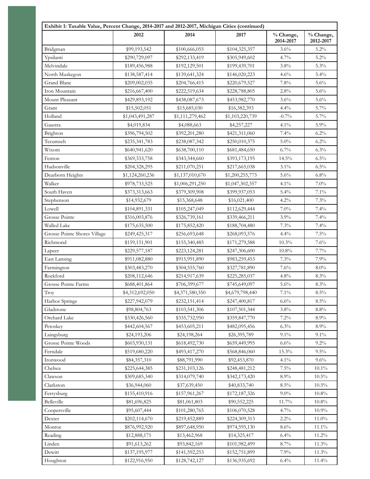| Exhibit 1: Taxable Value, Percent Change, 2014-2017 and 2012-2017, Michigan Cities (continued) | 2012            | 2014            | 2017            | % Change,<br>2014-2017 | % Change,<br>2012-2017 |
|------------------------------------------------------------------------------------------------|-----------------|-----------------|-----------------|------------------------|------------------------|
| Bridgman                                                                                       | \$99,193,542    | \$100,666,055   | \$104,325,357   | 3.6%                   | 5.2%                   |
| Ypsilanti                                                                                      | \$290,729,097   | \$292,133,419   | \$305,949,602   | $4.7\%$                | 5.2%                   |
| Melvindale                                                                                     | \$189,456,988   | \$192,129,501   | \$199,439,701   | $3.8\%$                | 5.3%                   |
| North Muskegon                                                                                 | \$138,587,414   | \$139,641,324   | \$146,020,223   | 4.6%                   | 5.4%                   |
| Grand Blanc                                                                                    | \$209,002,035   | \$204,766,415   | \$220,679,527   | 7.8%                   | 5.6%                   |
| Iron Mountain                                                                                  | \$216,667,400   | \$222,519,634   | \$228,788,805   | 2.8%                   | 5.6%                   |
| Mount Pleasant                                                                                 | \$429,893,192   | \$438,087,673   | \$453,982,770   | 3.6%                   | 5.6%                   |
| Grant                                                                                          | \$15,502,051    | \$15,685,030    | \$16,382,393    | 4.4%                   | 5.7%                   |
| Holland                                                                                        | \$1,043,491,287 | \$1,111,279,462 | \$1,103,220,739 | $-0.7%$                | $5.7\%$                |
| Gaastra                                                                                        | \$4,019,834     | \$4,088,663     | \$4,257,227     | $4.1\%$                | $5.9\%$                |
| Brighton                                                                                       | \$396,794,502   | \$392,201,280   | \$421,311,060   | 7.4%                   | 6.2%                   |
| Tecumseh                                                                                       | \$235,341,783   | \$238,087,342   | \$250,010,375   | 5.0%                   | $6.2\%$                |
| Wixom                                                                                          | \$640,941,620   | \$638,700,110   | \$681,484,650   | 6.7%                   | 6.3%                   |
| Fenton                                                                                         | \$369,333,758   | \$343,344,660   | \$393,173,195   | 14.5%                  | 6.5%                   |
| Hudsonville                                                                                    | \$204,328,295   | \$211,070,251   | \$217,665,038   | $3.1\%$                | 6.5%                   |
| Dearborn Heights                                                                               | \$1,124,260,236 | \$1,137,010,670 | \$1,200,255,773 | 5.6%                   | 6.8%                   |
| Walker                                                                                         | \$978,733,525   | \$1,006,291,250 | \$1,047,302,357 | $4.1\%$                | $7.0\%$                |
| South Haven                                                                                    | \$373,313,663   | \$379,309,908   | \$399,937,053   | $5.4\%$                | 7.1%                   |
| Stephenson                                                                                     | \$14,932,679    | \$15,368,648    | \$16,021,400    | 4.2%                   | 7.3%                   |
| Lowell                                                                                         | \$104,891,331   | \$105,247,049   | \$112,629,444   | 7.0%                   | 7.4%                   |
| Grosse Pointe                                                                                  |                 |                 |                 | 3.9%                   | 7.4%                   |
| Walled Lake                                                                                    | \$316,003,876   | \$326,739,161   | \$339,466,211   |                        |                        |
|                                                                                                | \$175,635,500   | \$175,852,420   | \$188,704,480   | 7.3%                   | 7.4%<br>7.5%           |
| Grosse Pointe Shores Village<br>Richmond                                                       | \$249,425,317   | \$256,693,648   | \$268,093,576   | 4.4%                   |                        |
|                                                                                                | \$159,151,901   | \$155,340,485   | \$171,279,588   | 10.3%                  | 7.6%                   |
| Lapeer                                                                                         | \$229,577,187   | \$223,124,281   | \$247,306,600   | $10.8\%$<br>7.3%       | $7.7\%$                |
| <b>East Lansing</b>                                                                            | \$911,082,880   | \$915,991,890   | \$983,259,453   |                        | 7.9%                   |
| Farmington                                                                                     | \$303,483,270   | \$304,555,760   | \$327,781,890   | 7.6%                   | 8.0%                   |
| Rockford                                                                                       | \$208,112,646   | \$214,917,639   | \$225,285,037   | 4.8%                   | 8.3%                   |
| Grosse Pointe Farms                                                                            | \$688,401,864   | \$706,399,677   | \$745,649,097   | 5.6%                   | 8.3%                   |
| Troy                                                                                           | \$4,312,692,050 | \$4,371,580,350 | \$4,679,798,440 | $7.1\%$                | $8.5\%$                |
| Harbor Springs                                                                                 | \$227,942,079   | \$232,151,414   | \$247,400,817   | 6.6%                   | 8.5%                   |
| Gladstone                                                                                      | \$98,804,763    | \$103,541,306   | \$107,501,344   | 3.8%                   | $8.8\%$                |
| Orchard Lake                                                                                   | \$330,426,560   | \$335,732,950   | \$359,847,770   | $7.2\%$                | $8.9\%$                |
| Petoskey                                                                                       | \$442,604,567   | \$453,605,211   | \$482,095,456   | 6.3%                   | $8.9\%$                |
| Laingsburg                                                                                     | \$24,193,206    | \$24,198,264    | \$26,395,789    | $9.1\%$                | $9.1\%$                |
| Grosse Pointe Woods                                                                            | \$603,930,131   | \$618,492,730   | \$659,449,995   | 6.6%                   | $9.2\%$                |
| Ferndale                                                                                       | \$519,680,220   | \$493,417,270   | \$568,846,060   | 15.3%                  | $9.5\%$                |
| Ironwood                                                                                       | \$84,357,310    | \$88,791,990    | \$92,453,870    | $4.1\%$                | 9.6%                   |
| Chelsea                                                                                        | \$225,644,385   | \$231,103,126   | \$248,481,212   | $7.5\%$                | $10.1\%$               |
| Clawson                                                                                        | \$309,685,340   | \$314,079,740   | \$342,173,420   | 8.9%                   | $10.5\%$               |
| Clarkston                                                                                      | \$36,944,060    | \$37,639,450    | \$40,833,740    | $8.5\%$                | $10.5\%$               |
| Ferrysburg                                                                                     | \$155,410,916   | \$157,961,267   | \$172,187,326   | $9.0\%$                | $10.8\%$               |
| Belleville                                                                                     | \$81,696,825    | \$81,061,803    | \$90,552,225    | 11.7%                  | $10.8\%$               |
| Coopersville                                                                                   | \$95,607,444    | \$101,280,765   | \$106,070,528   | 4.7%                   | 10.9%                  |
| Dexter                                                                                         | \$202,114,670   | \$219,452,889   | \$224,309,313   | $2.2\%$                | 11.0%                  |
| Monroe                                                                                         | \$876,992,920   | \$897,648,950   | \$974,595,130   | 8.6%                   | 11.1%                  |
| Reading                                                                                        | \$12,888,171    | \$13,462,968    | \$14,325,417    | 6.4%                   | 11.2%                  |
| Linden                                                                                         | \$91,613,262    | \$93,842,169    | \$101,982,499   | 8.7%                   | 11.3%                  |
| Dewitt                                                                                         | \$137,195,977   | \$141,592,253   | \$152,751,899   | 7.9%                   | 11.3%                  |
| Houghton                                                                                       | \$122,916,950   | \$128,742,127   | \$136,935,692   | 6.4%                   | $11.4\%$               |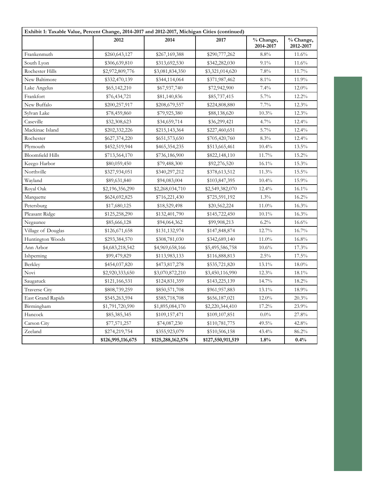| Exhibit 1: Taxable Value, Percent Change, 2014-2017 and 2012-2017, Michigan Cities (continued) |                   |                   |                   |                        |                        |
|------------------------------------------------------------------------------------------------|-------------------|-------------------|-------------------|------------------------|------------------------|
|                                                                                                | 2012              | 2014              | 2017              | % Change,<br>2014-2017 | % Change,<br>2012-2017 |
| Frankenmuth                                                                                    | \$260,643,127     | \$267,169,388     | \$290,777,262     | 8.8%                   | 11.6%                  |
| South Lyon                                                                                     | \$306,639,810     | \$313,692,530     | \$342,282,030     | 9.1%                   | 11.6%                  |
| Rochester Hills                                                                                | \$2,972,809,776   | \$3,081,834,350   | \$3,321,014,620   | 7.8%                   | 11.7%                  |
| New Baltimore                                                                                  | \$332,470,139     | \$344,114,064     | \$371,987,462     | 8.1%                   | 11.9%                  |
| Lake Angelus                                                                                   | \$65,142,210      | \$67,937,740      | \$72,942,900      | 7.4%                   | 12.0%                  |
| Frankfort                                                                                      | \$76,434,721      | \$81,140,836      | \$85,737,415      | 5.7%                   | 12.2%                  |
| New Buffalo                                                                                    | \$200,257,917     | \$208,679,557     | \$224,808,880     | 7.7%                   | 12.3%                  |
| Sylvan Lake                                                                                    | \$78,459,860      | \$79,925,380      | \$88,138,620      | 10.3%                  | 12.3%                  |
| Caseville                                                                                      | \$32,308,623      | \$34,659,714      | \$36,299,421      | 4.7%                   | 12.4%                  |
| Mackinac Island                                                                                | \$202,332,226     | \$215,143,364     | \$227,460,651     | 5.7%                   | 12.4%                  |
| Rochester                                                                                      | \$627,374,220     | \$651,573,650     | \$705,420,760     | 8.3%                   | $12.4\%$               |
| Plymouth                                                                                       | \$452,519,944     | \$465,354,235     | \$513,665,461     | 10.4%                  | 13.5%                  |
| <b>Bloomfield Hills</b>                                                                        | \$713,564,170     | \$736,186,900     | \$822,148,110     | 11.7%                  | 15.2%                  |
| Keego Harbor                                                                                   | \$80,059,450      | \$79,488,300      | \$92,276,520      | $16.1\%$               | $15.3\%$               |
| Northville                                                                                     | \$327,934,051     | \$340,297,212     | \$378,613,512     | 11.3%                  | $15.5\%$               |
| Wayland                                                                                        | \$89,631,840      | \$94,083,004      | \$103,847,395     | 10.4%                  | 15.9%                  |
| Royal Oak                                                                                      | \$2,196,356,290   | \$2,268,034,710   | \$2,549,382,070   | 12.4%                  | 16.1%                  |
| Marquette                                                                                      | \$624,692,825     | \$716,221,430     | \$725,591,192     | 1.3%                   | 16.2%                  |
| Petersburg                                                                                     | \$17,680,125      | \$18,529,498      | \$20,562,224      | 11.0%                  | 16.3%                  |
| Pleasant Ridge                                                                                 | \$125,258,290     | \$132,401,790     | \$145,722,450     | $10.1\%$               | 16.3%                  |
| Negaunee                                                                                       | \$85,666,128      | \$94,064,362      | \$99,908,213      | 6.2%                   | 16.6%                  |
| Village of Douglas                                                                             | \$126,671,658     | \$131,132,974     | \$147,848,874     | 12.7%                  | 16.7%                  |
| Huntington Woods                                                                               | \$293,384,570     | \$308,781,030     | \$342,689,140     | 11.0%                  | 16.8%                  |
| Ann Arbor                                                                                      | \$4,683,218,542   | \$4,969,658,166   | \$5,495,586,758   | 10.6%                  | 17.3%                  |
| Ishpeming                                                                                      | \$99,479,829      | \$113,983,133     | \$116,888,813     | $2.5\%$                | 17.5%                  |
| Berkley                                                                                        | \$454,037,820     | \$473,817,278     | \$535,721,820     | 13.1%                  | $18.0\%$               |
| Novi                                                                                           | \$2,920,333,650   | \$3,070,872,210   | \$3,450,116,990   | 12.3%                  | 18.1%                  |
| Saugatuck                                                                                      | \$121,166,531     | \$124,831,359     | \$143,225,139     | 14.7%                  | 18.2%                  |
| <b>Traverse City</b>                                                                           | \$808,739,259     | \$850,571,708     | \$961,957,883     | 13.1%                  | 18.9%                  |
| <b>East Grand Rapids</b>                                                                       | \$545,263,594     | \$585,718,708     | \$656,187,021     | $12.0\%$               | 20.3%                  |
| Birmingham                                                                                     | \$1,791,720,590   | \$1,895,084,170   | \$2,220,344,410   | 17.2%                  | 23.9%                  |
| Hancock                                                                                        | \$85,385,345      | \$109,157,471     | \$109,107,851     | $0.0\%$                | 27.8%                  |
| Carson City                                                                                    | \$77,571,257      | \$74,087,230      | \$110,781,775     | 49.5%                  | 42.8%                  |
| Zeeland                                                                                        | \$274,219,754     | \$355,923,079     | \$510,506,158     | 43.4%                  | 86.2%                  |
|                                                                                                | \$126,995,116,675 | \$125,288,162,576 | \$127,550,911,519 | 1.8%                   | 0.4%                   |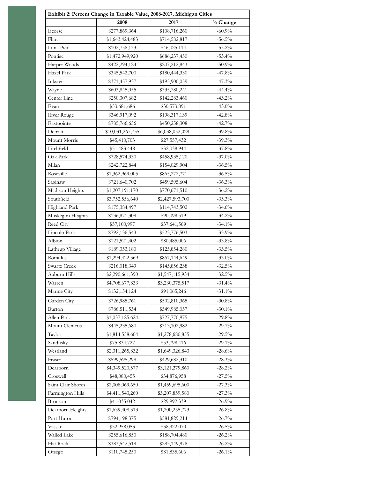|                    |                  | Exhibit 2: Percent Change in Taxable Value, 2008-2017, Michigan Cities |           |
|--------------------|------------------|------------------------------------------------------------------------|-----------|
|                    | 2008             | 2017                                                                   | % Change  |
| Ecorse             | \$277,869,364    | \$108,716,260                                                          | $-60.9\%$ |
| Flint              | \$1,643,424,483  | \$714,582,817                                                          | $-56.5%$  |
| Luna Pier          | \$102,758,133    | \$46,025,114                                                           | $-55.2%$  |
| Pontiac            | \$1,472,949,920  | \$686,237,450                                                          | $-53.4%$  |
| Harper Woods       | \$422,294,124    | \$207,212,843                                                          | $-50.9%$  |
| Hazel Park         | \$345,542,700    | \$180,444,330                                                          | $-47.8%$  |
| Inkster            | \$371,457,937    | \$195,900,059                                                          | $-47.3%$  |
| Wayne              | \$603,845,055    | \$335,780,241                                                          | $-44.4%$  |
| Center Line        | \$250,307,682    | \$142,283,460                                                          | $-43.2\%$ |
| Evart              | \$53,681,686     | \$30,573,891                                                           | $-43.0\%$ |
| River Rouge        | \$346,917,092    | \$198,317,139                                                          | $-42.8%$  |
| Eastpointe         | \$785,766,656    | \$450,258,308                                                          | $-42.7\%$ |
| Detroit            | \$10,031,267,735 | \$6,038,052,029                                                        | $-39.8%$  |
| Mount Morris       | \$45,410,703     | \$27,557,432                                                           | $-39.3%$  |
| Litchfield         | \$51,483,448     | \$32,038,944                                                           | $-37.8%$  |
| Oak Park           | \$728,574,330    | \$458,935,120                                                          | $-37.0%$  |
| Milan              | \$242,722,844    | \$154,029,904                                                          | $-36.5%$  |
| Roseville          | \$1,362,969,005  | \$865,272,771                                                          | $-36.5%$  |
| Saginaw            | \$721,640,702    | \$459,595,604                                                          | $-36.3%$  |
| Madison Heights    | \$1,207,191,170  | \$770,671,510                                                          | $-36.2%$  |
| Southfield         | \$3,752,556,640  | \$2,427,593,700                                                        | $-35.3%$  |
| Highland Park      | \$175,384,497    | \$114,743,502                                                          | $-34.6%$  |
| Muskegon Heights   | \$136,871,309    | \$90,098,519                                                           | $-34.2%$  |
| Reed City          | \$57,100,997     | \$37,641,569                                                           | $-34.1\%$ |
| Lincoln Park       | \$792,136,543    | \$523,776,503                                                          | $-33.9%$  |
| Albion             | \$121,521,402    | \$80,485,006                                                           | $-33.8%$  |
| Lathrup Village    | \$189,353,180    | \$125,854,280                                                          | $-33.5%$  |
| Romulus            | \$1,294,422,369  | \$867,144,649                                                          | $-33.0%$  |
| Swartz Creek       | \$216,018,349    | \$145,856,238                                                          | $-32.5%$  |
| Auburn Hills       | \$2,290,661,390  | \$1,547,115,934                                                        | $-32.5\%$ |
| Warren             | \$4,708,677,833  | \$3,230,375,517                                                        | $-31.4\%$ |
| Marine City        | \$132,154,124    | \$91,065,246                                                           | $-31.1\%$ |
| Garden City        | \$726,985,761    | \$502,810,365                                                          | $-30.8\%$ |
| Burton             | \$786,511,534    | \$549,985,057                                                          | $-30.1\%$ |
| Allen Park         | \$1,037,125,624  | \$727,770,975                                                          | $-29.8%$  |
| Mount Clemens      | \$445,235,680    | \$313,102,982                                                          | $-29.7%$  |
| Taylor             | \$1,814,558,604  | \$1,278,680,855                                                        | $-29.5%$  |
| Sandusky           | \$75,834,727     | \$53,798,416                                                           | $-29.1\%$ |
| Westland           | \$2,311,265,832  | \$1,649,326,843                                                        | $-28.6%$  |
| Fraser             | \$599,595,298    | \$429,682,310                                                          | $-28.3%$  |
| Dearborn           | \$4,349,520,577  | \$3,121,279,860                                                        | $-28.2%$  |
| Croswell           | \$48,080,455     | \$34,876,958                                                           | $-27.5%$  |
| Saint Clair Shores | \$2,008,069,650  | \$1,459,695,600                                                        | $-27.3%$  |
| Farmington Hills   | \$4,411,543,260  | \$3,207,859,580                                                        | $-27.3%$  |
| Bronson            | \$41,035,042     | \$29,992,339                                                           | $-26.9%$  |
| Dearborn Heights   | \$1,639,408,313  | \$1,200,255,773                                                        | $-26.8%$  |
| Port Huron         | \$794,198,375    | \$581,829,214                                                          | $-26.7%$  |
| Vassar             | \$52,958,053     | \$38,922,070                                                           | $-26.5%$  |
| Walled Lake        | \$255,616,850    | \$188,704,480                                                          | $-26.2%$  |
| Flat Rock          | \$383,542,519    | \$283,149,978                                                          | $-26.2%$  |
| Otsego             | \$110,745,250    | \$81,835,606                                                           | $-26.1\%$ |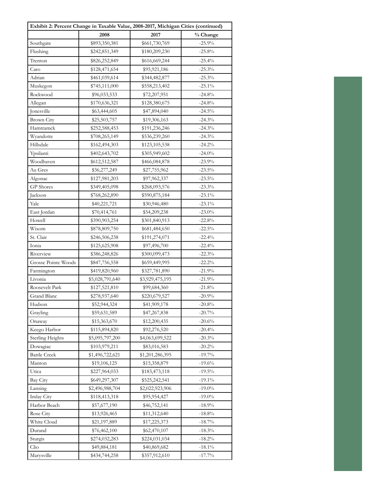| Exhibit 2: Percent Change in Taxable Value, 2008-2017, Michigan Cities (continued) |                 |                 |           |  |  |
|------------------------------------------------------------------------------------|-----------------|-----------------|-----------|--|--|
|                                                                                    | 2008            | 2017            | % Change  |  |  |
| Southgate                                                                          | \$893,350,381   | \$661,730,769   | $-25.9%$  |  |  |
| Flushing                                                                           | \$242,851,349   | \$180,209,230   | $-25.8%$  |  |  |
| Trenton                                                                            | \$826,252,849   | \$616,669,244   | $-25.4%$  |  |  |
| Caro                                                                               | \$128,471,654   | \$95,921,186    | $-25.3%$  |  |  |
| Adrian                                                                             | \$461,039,614   | \$344,482,877   | $-25.3%$  |  |  |
| Muskegon                                                                           | \$745,111,000   | \$558,213,402   | $-25.1\%$ |  |  |
| Rockwood                                                                           | \$96,033,533    | \$72,207,951    | $-24.8%$  |  |  |
| Allegan                                                                            | \$170,636,321   | \$128,380,675   | $-24.8%$  |  |  |
| Jonesville                                                                         | \$63,444,605    | \$47,894,040    | $-24.5\%$ |  |  |
| <b>Brown City</b>                                                                  | \$25,503,757    | \$19,306,163    | $-24.3%$  |  |  |
| Hamtramck                                                                          | \$252,588,453   | \$191,236,246   | $-24.3%$  |  |  |
| Wyandotte                                                                          | \$708,265,149   | \$536,239,260   | $-24.3%$  |  |  |
| Hillsdale                                                                          | \$162,494,303   | \$123,105,538   | $-24.2%$  |  |  |
| Ypsilanti                                                                          | \$402,643,702   | \$305,949,602   | $-24.0%$  |  |  |
| Woodhaven                                                                          | \$612,512,587   | \$466,084,878   | $-23.9%$  |  |  |
| Au Gres                                                                            | \$36,277,249    | \$27,755,962    | $-23.5%$  |  |  |
| Algonac                                                                            | \$127,981,203   | \$97,962,337    | $-23.5\%$ |  |  |
| <b>GP</b> Shores                                                                   | \$349,405,098   | \$268,093,576   | $-23.3%$  |  |  |
| Jackson                                                                            | \$768,262,890   | \$590,875,184   | $-23.1\%$ |  |  |
| Yale                                                                               | \$40,221,721    | \$30,946,480    | $-23.1\%$ |  |  |
| East Jordan                                                                        | \$70,414,761    | \$54,209,238    | $-23.0\%$ |  |  |
| Howell                                                                             | \$390,903,254   | \$301,840,913   | $-22.8%$  |  |  |
| Wixom                                                                              | \$878,809,750   | \$681,484,650   | $-22.5%$  |  |  |
| St. Clair                                                                          | \$246,506,238   | \$191,274,071   | $-22.4%$  |  |  |
| Ionia                                                                              | \$125,625,908   | \$97,496,700    | $-22.4%$  |  |  |
| Riverview                                                                          | \$386,248,826   | \$300,099,473   | $-22.3%$  |  |  |
| Grosse Pointe Woods                                                                | \$847,756,558   | \$659,449,995   | $-22.2%$  |  |  |
| Farmington                                                                         | \$419,820,960   | \$327,781,890   | $-21.9%$  |  |  |
| Livonia                                                                            | \$5,028,791,640 | \$3,929,475,195 | $-21.9%$  |  |  |
| Roosevelt Park                                                                     | \$127,521,810   | \$99,684,360    | $-21.8%$  |  |  |
| Grand Blanc                                                                        | \$278,937,640   | \$220,679,527   | $-20.9%$  |  |  |
| Hudson                                                                             | \$52,944,324    | \$41,909,178    | $-20.8%$  |  |  |
| Grayling                                                                           | \$59,631,589    | \$47,267,838    | $-20.7%$  |  |  |
| Onaway                                                                             | \$15,363,670    | \$12,200,435    | $-20.6%$  |  |  |
| Keego Harbor                                                                       | \$115,894,820   | \$92,276,520    | $-20.4%$  |  |  |
| <b>Sterling Heights</b>                                                            | \$5,095,797,200 | \$4,063,699,522 | $-20.3%$  |  |  |
| Dowagiac                                                                           | \$103,979,211   | \$83,016,583    | $-20.2%$  |  |  |
| <b>Battle Creek</b>                                                                | \$1,496,722,621 | \$1,201,286,395 | $-19.7\%$ |  |  |
| Manton                                                                             | \$19,106,125    | \$15,358,879    | $-19.6%$  |  |  |
| Utica                                                                              | \$227,964,033   | \$183,473,118   | $-19.5\%$ |  |  |
| Bay City                                                                           | \$649,297,307   | \$525,242,541   | $-19.1%$  |  |  |
| Lansing                                                                            | \$2,496,988,704 | \$2,022,923,906 | $-19.0\%$ |  |  |
| <b>Imlay City</b>                                                                  | \$118,413,318   | \$95,954,427    | $-19.0\%$ |  |  |
| Harbor Beach                                                                       | \$57,677,190    | \$46,752,141    | $-18.9%$  |  |  |
| Rose City                                                                          | \$13,926,465    | \$11,312,640    | $-18.8%$  |  |  |
| White Cloud                                                                        | \$21,197,889    | \$17,225,373    | $-18.7%$  |  |  |
| Durand                                                                             | \$76,462,100    | \$62,470,107    | $-18.3\%$ |  |  |
| Sturgis                                                                            | \$274,032,283   | \$224,031,034   | $-18.2%$  |  |  |
| Clio                                                                               | \$49,884,181    | \$40,869,682    | $-18.1\%$ |  |  |
| Marysville                                                                         | \$434,744,258   | \$357,912,610   | $-17.7%$  |  |  |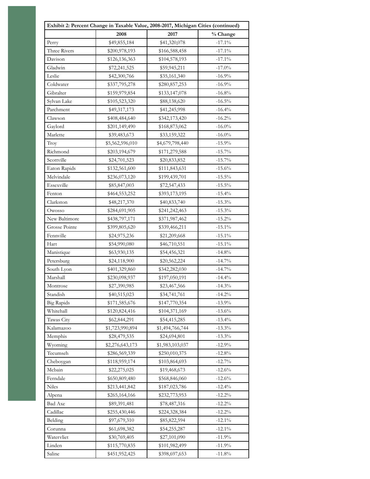| Exhibit 2: Percent Change in Taxable Value, 2008-2017, Michigan Cities (continued) |                 |                 |                  |  |  |
|------------------------------------------------------------------------------------|-----------------|-----------------|------------------|--|--|
|                                                                                    | 2008            | 2017            | % Change         |  |  |
| Perry                                                                              | \$49,855,184    | \$41,320,078    | $-17.1\%$        |  |  |
| Three Rivers                                                                       | \$200,978,193   | \$166,588,458   | $-17.1%$         |  |  |
| Davison                                                                            | \$126,136,363   | \$104,578,193   | $-17.1\%$        |  |  |
| Gladwin                                                                            | \$72,241,525    | \$59,945,211    | $-17.0\%$        |  |  |
| Leslie                                                                             | \$42,300,766    | \$35,161,340    | $-16.9%$         |  |  |
| Coldwater                                                                          | \$337,795,278   | \$280,857,253   | $-16.9%$         |  |  |
| Gibralter                                                                          | \$159,979,854   | \$133,147,078   | $-16.8%$         |  |  |
| Sylvan Lake                                                                        | \$105,523,320   | \$88,138,620    | $-16.5\%$        |  |  |
| Parchment                                                                          | \$49,317,173    | \$41,245,998    | $-16.4%$         |  |  |
| Clawson                                                                            | \$408,484,640   | \$342,173,420   | $-16.2%$         |  |  |
| Gaylord                                                                            | \$201,149,490   | \$168,873,062   | $-16.0\%$        |  |  |
| Marlette                                                                           | \$39,483,673    | \$33,159,322    | $-16.0\%$        |  |  |
| Troy                                                                               | \$5,562,596,010 | \$4,679,798,440 | $-15.9%$         |  |  |
| Richmond                                                                           | \$203,194,679   | \$171,279,588   | $-15.7\%$        |  |  |
| Scottville                                                                         | \$24,701,523    | \$20,833,852    | $-15.7\%$        |  |  |
| Eaton Rapids                                                                       | \$132,561,600   | \$111,843,631   | $-15.6%$         |  |  |
| Melvindale                                                                         | \$236,073,120   | \$199,439,701   | $-15.5%$         |  |  |
| Essexville                                                                         | \$85,847,003    | \$72,547,433    | $-15.5\%$        |  |  |
| Fenton                                                                             | \$464,553,252   | \$393,173,195   | $-15.4%$         |  |  |
| Clarkston                                                                          | \$48,217,370    | \$40,833,740    | $-15.3%$         |  |  |
| Owosso                                                                             | \$284,691,905   | \$241,242,463   | $-15.3%$         |  |  |
| New Baltimore                                                                      | \$438,797,171   | \$371,987,462   | $-15.2\%$        |  |  |
| Grosse Pointe                                                                      | \$399,805,620   | \$339,466,211   | $-15.1\%$        |  |  |
| Fennville                                                                          | \$24,975,236    | \$21,209,668    | $-15.1\%$        |  |  |
| Hart                                                                               | \$54,990,080    | \$46,710,551    | $-15.1\%$        |  |  |
| Manistique                                                                         | \$63,930,135    | \$54,456,321    | $-14.8%$         |  |  |
| Petersburg                                                                         | \$24,118,900    | \$20,562,224    | $-14.7%$         |  |  |
| South Lyon                                                                         | \$401,329,860   | \$342,282,030   | $-14.7\%$        |  |  |
| Marshall                                                                           | \$230,098,937   | \$197,050,191   | $-14.4%$         |  |  |
| Montrose                                                                           | \$27,390,985    | \$23,467,566    | $-14.3%$         |  |  |
| Standish                                                                           | \$40,515,023    | \$34,741,761    | $-14.2%$         |  |  |
| <b>Big Rapids</b>                                                                  | \$171,585,676   | \$147,770,354   | $-13.9%$         |  |  |
| Whitehall                                                                          | \$120,824,416   | \$104,371,169   | $\text{-}13.6\%$ |  |  |
| Tawas City                                                                         | \$62,844,291    | \$54,415,285    | $-13.4%$         |  |  |
| Kalamazoo                                                                          | \$1,723,990,894 | \$1,494,766,744 | $-13.3%$         |  |  |
| Memphis                                                                            | \$28,479,535    | \$24,694,801    | $-13.3%$         |  |  |
| Wyoming                                                                            | \$2,276,643,173 | \$1,983,103,037 | $-12.9%$         |  |  |
| Tecumseh                                                                           | \$286,569,339   | \$250,010,375   | $-12.8%$         |  |  |
| Cheboygan                                                                          | \$118,959,174   | \$103,864,693   | $-12.7%$         |  |  |
| Mcbain                                                                             | \$22,275,025    | \$19,468,673    | $-12.6%$         |  |  |
| Ferndale                                                                           | \$650,809,480   | \$568,846,060   | $-12.6%$         |  |  |
| Niles                                                                              | \$213,441,842   | \$187,023,786   | $-12.4%$         |  |  |
| Alpena                                                                             | \$265,164,166   | \$232,773,953   | $-12.2%$         |  |  |
| <b>Bad Axe</b>                                                                     | \$89,391,481    | \$78,487,316    | $-12.2%$         |  |  |
| Cadillac                                                                           | \$255,430,446   | \$224,328,384   | $-12.2\%$        |  |  |
| Belding                                                                            | \$97,679,310    | \$85,822,594    | $-12.1\%$        |  |  |
| Corunna                                                                            | \$61,698,382    | \$54,255,287    | $-12.1\%$        |  |  |
| Watervliet                                                                         | \$30,769,405    | \$27,101,090    | $-11.9%$         |  |  |
| Linden                                                                             | \$115,770,835   | \$101,982,499   | $-11.9%$         |  |  |
| Saline                                                                             | \$451,952,425   | \$398,697,653   | $-11.8%$         |  |  |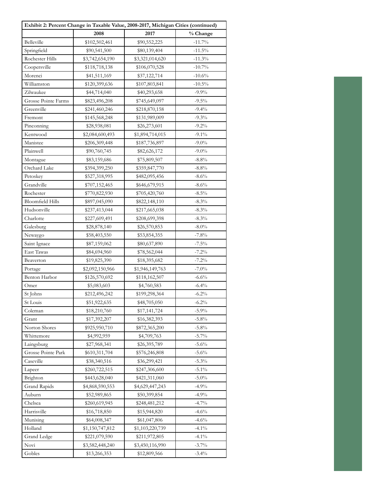| Exhibit 2: Percent Change in Taxable Value, 2008-2017, Michigan Cities (continued) |                 |                 |           |  |  |
|------------------------------------------------------------------------------------|-----------------|-----------------|-----------|--|--|
|                                                                                    | 2008            | 2017            | % Change  |  |  |
| Belleville                                                                         | \$102,502,461   | \$90,552,225    | $-11.7%$  |  |  |
| Springfield                                                                        | \$90,541,500    | \$80,139,404    | $-11.5\%$ |  |  |
| Rochester Hills                                                                    | \$3,742,654,190 | \$3,321,014,620 | $-11.3%$  |  |  |
| Coopersville                                                                       | \$118,718,138   | \$106,070,528   | $-10.7\%$ |  |  |
| Morenci                                                                            | \$41,511,169    | \$37,122,714    | $-10.6%$  |  |  |
| Williamston                                                                        | \$120,399,636   | \$107,803,841   | $-10.5\%$ |  |  |
| Zilwaukee                                                                          | \$44,714,040    | \$40,293,658    | $-9.9\%$  |  |  |
| Grosse Pointe Farms                                                                | \$823,496,208   | \$745,649,097   | $-9.5%$   |  |  |
| Greenville                                                                         | \$241,460,246   | \$218,870,158   | $-9.4%$   |  |  |
| Fremont                                                                            | \$145,568,248   | \$131,989,009   | $-9.3%$   |  |  |
| Pinconning                                                                         | \$28,938,081    | \$26,273,601    | $-9.2\%$  |  |  |
| Kentwood                                                                           | \$2,084,600,493 | \$1,894,714,015 | $-9.1\%$  |  |  |
| Manistee                                                                           | \$206,309,448   | \$187,736,897   | $-9.0\%$  |  |  |
| Plainwell                                                                          | \$90,760,745    | \$82,626,172    | $-9.0\%$  |  |  |
| Montague                                                                           | \$83,159,686    | \$75,809,507    | $-8.8\%$  |  |  |
| Orchard Lake                                                                       | \$394,399,250   | \$359,847,770   | $-8.8\%$  |  |  |
| Petoskey                                                                           | \$527,318,995   | \$482,095,456   | $-8.6%$   |  |  |
| Grandville                                                                         | \$707,152,465   | \$646,679,915   | $-8.6%$   |  |  |
| Rochester                                                                          | \$770,822,930   | \$705,420,760   | $-8.5\%$  |  |  |
| <b>Bloomfield Hills</b>                                                            | \$897,045,090   | \$822,148,110   | $-8.3\%$  |  |  |
| Hudsonville                                                                        | \$237,413,044   | \$217,665,038   | $-8.3\%$  |  |  |
| Charlotte                                                                          | \$227,609,491   | \$208,699,398   | $-8.3\%$  |  |  |
| Galesburg                                                                          | \$28,878,140    | \$26,570,853    | $-8.0\%$  |  |  |
| Newaygo                                                                            | \$58,403,550    | \$53,854,355    | $-7.8%$   |  |  |
| Saint Ignace                                                                       | \$87,159,062    | \$80,637,890    | $-7.5\%$  |  |  |
| East Tawas                                                                         | \$84,694,960    | \$78,562,044    | $-7.2%$   |  |  |
| Beaverton                                                                          | \$19,825,390    | \$18,395,682    | $-7.2%$   |  |  |
| Portage                                                                            | \$2,092,150,966 | \$1,946,149,763 | $-7.0\%$  |  |  |
| Benton Harbor                                                                      | \$126,570,692   | \$118,162,507   | $-6.6%$   |  |  |
| Omer                                                                               | \$5,083,603     | \$4,760,583     | $-6.4%$   |  |  |
| St Johns                                                                           | \$212,496,242   | \$199,298,364   | $-6.2%$   |  |  |
| St Louis                                                                           | \$51,922,635    | \$48,705,050    | $-6.2%$   |  |  |
| Coleman                                                                            | \$18,210,760    | \$17,141,724    | $-5.9\%$  |  |  |
| Grant                                                                              | \$17,392,207    | \$16,382,393    | $-5.8\%$  |  |  |
| Norton Shores                                                                      | \$925,950,710   | \$872,365,200   | $-5.8\%$  |  |  |
| Whittemore                                                                         | \$4,992,959     | \$4,709,763     | $-5.7\%$  |  |  |
| Laingsburg                                                                         | \$27,968,341    | \$26,395,789    | $-5.6%$   |  |  |
| Grosse Pointe Park                                                                 | \$610,311,704   | \$576,246,808   | $-5.6\%$  |  |  |
| Caseville                                                                          | \$38,340,516    | \$36,299,421    | $-5.3\%$  |  |  |
| Lapeer                                                                             | \$260,722,515   | \$247,306,600   | $-5.1\%$  |  |  |
| Brighton                                                                           | \$443,628,040   | \$421,311,060   | $-5.0\%$  |  |  |
| Grand Rapids                                                                       | \$4,868,590,553 | \$4,629,447,243 | $-4.9%$   |  |  |
| Auburn                                                                             | \$52,989,865    | \$50,399,854    | $-4.9%$   |  |  |
| Chelsea                                                                            | \$260,619,945   | \$248,481,212   | $-4.7%$   |  |  |
| Harrisville                                                                        | \$16,718,850    | \$15,944,820    | $-4.6%$   |  |  |
| Munising                                                                           | \$64,008,347    | \$61,047,806    | $-4.6%$   |  |  |
| Holland                                                                            | \$1,150,747,812 | \$1,103,220,739 | $-4.1\%$  |  |  |
| Grand Ledge                                                                        | \$221,079,590   | \$211,972,805   | $-4.1\%$  |  |  |
| Novi                                                                               | \$3,582,448,240 | \$3,450,116,990 | $-3.7%$   |  |  |
| Gobles                                                                             | \$13,266,353    | \$12,809,566    | $-3.4%$   |  |  |
|                                                                                    |                 |                 |           |  |  |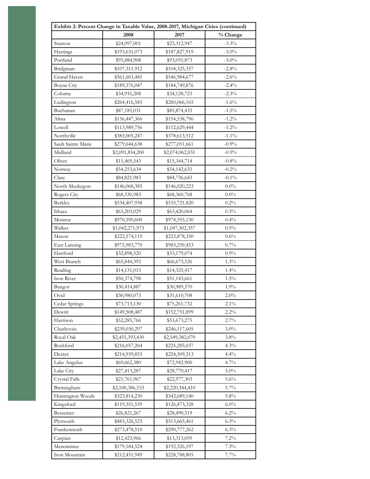| Exhibit 2: Percent Change in Taxable Value, 2008-2017, Michigan Cities (continued) |                 |                 |                 |  |  |
|------------------------------------------------------------------------------------|-----------------|-----------------|-----------------|--|--|
|                                                                                    | 2008            | 2017            | % Change        |  |  |
| Stanton                                                                            | \$24,097,001    | \$23,312,947    | $-3.3%$         |  |  |
| Hastings                                                                           | \$193,631,073   | \$187,827,919   | $-3.0\%$        |  |  |
| Portland                                                                           | \$95,884,908    | \$93,055,873    | $-3.0\%$        |  |  |
| Bridgman                                                                           | \$107,311,912   | \$104,325,357   | $-2.8%$         |  |  |
| Grand Haven                                                                        | \$561,603,485   | \$546,984,677   | $-2.6%$         |  |  |
| <b>Boyne City</b>                                                                  | \$189,376,047   | \$184,749,876   | $-2.4%$         |  |  |
| Coloma                                                                             | \$34,916,208    | \$34,128,723    | $-2.3\%$        |  |  |
| Ludington                                                                          | \$264,416,583   | \$260,066,165   | $-1.6%$         |  |  |
| Buchanan                                                                           | \$87,185,031    | \$85,874,433    | $-1.5\%$        |  |  |
| Alma                                                                               | \$156,447,366   | \$154,538,796   | $\text{-}1.2\%$ |  |  |
| Lowell                                                                             | \$113,989,756   | \$112,629,444   | $-1.2\%$        |  |  |
| Northville                                                                         | \$383,005,247   | \$378,613,512   | $-1.1\%$        |  |  |
| Sault Sainte Marie                                                                 | \$279,644,638   | \$277,051,661   | $-0.9%$         |  |  |
| Midland                                                                            | \$2,091,854,200 | \$2,074,062,031 | $-0.9\%$        |  |  |
| Olivet                                                                             | \$15,469,543    | \$15,344,714    | $-0.8%$         |  |  |
| Norway                                                                             | \$54,253,634    | \$54,142,635    | $-0.2\%$        |  |  |
| Clare                                                                              | \$84,821,983    | \$84,736,643    | $-0.1\%$        |  |  |
| North Muskegon                                                                     | \$146,068,385   | \$146,020,223   | $0.0\%$         |  |  |
| Rogers City                                                                        | \$68,330,983    | \$68,360,768    | $0.0\%$         |  |  |
| Berkley                                                                            | \$534,407,938   | \$535,721,820   | 0.2%            |  |  |
| Ithaca                                                                             | \$63,203,029    | \$63,420,064    | 0.3%            |  |  |
| Monroe                                                                             | \$970,390,600   | \$974,595,130   | 0.4%            |  |  |
| Walker                                                                             | \$1,042,271,973 | \$1,047,302,357 | 0.5%            |  |  |
| Mason                                                                              | \$222,574,119   | \$223,878,350   | $0.6\%$         |  |  |
| <b>East Lansing</b>                                                                | \$975,983,770   | \$983,259,453   | 0.7%            |  |  |
| Hartford                                                                           | \$32,898,520    | \$33,179,074    | 0.9%            |  |  |
| West Branch                                                                        | \$65,844,393    | \$66,673,526    | 1.3%            |  |  |
| Reading                                                                            | \$14,131,015    | \$14,325,417    | 1.4%            |  |  |
| Iron River                                                                         | \$50,374,798    | \$51,143,661    | $1.5\%$         |  |  |
| Bangor                                                                             | \$30,414,887    | \$30,989,570    | 1.9%            |  |  |
| Ovid                                                                               | \$30,980,073    | \$31,610,708    | 2.0%            |  |  |
| Cedar Springs                                                                      | \$73,713,130    | \$75,261,732    | 2.1%            |  |  |
| Dewitt                                                                             | \$149,508,487   | \$152,751,899   | $2.2\%$         |  |  |
| Harrison                                                                           | \$52,285,766    | \$53,673,275    | 2.7%            |  |  |
| Charlevoix                                                                         | \$239,030,297   | \$246,117,605   | $3.0\%$         |  |  |
| Royal Oak                                                                          | \$2,455,393,430 | \$2,549,382,070 | 3.8%            |  |  |
| Rockford                                                                           | \$216,057,264   | \$225,285,037   | 4.3%            |  |  |
| Dexter                                                                             | \$214,939,853   | \$224,309,313   | 4.4%            |  |  |
| Lake Angelus                                                                       | \$69,662,380    | \$72,942,900    | $4.7\%$         |  |  |
| Lake City                                                                          | \$27,413,287    | \$28,770,417    | $5.0\%$         |  |  |
| Crystal Falls                                                                      | \$21,761,967    | \$22,977,303    | 5.6%            |  |  |
| Birmingham                                                                         | \$2,100,386,533 | \$2,220,344,410 | 5.7%            |  |  |
| Huntington Woods                                                                   | \$323,814,230   | \$342,689,140   | 5.8%            |  |  |
| Kingsford                                                                          | \$119,351,539   | \$126,473,328   | $6.0\%$         |  |  |
| Bessemer                                                                           | \$26,821,267    | \$28,490,519    | $6.2\%$         |  |  |
| Plymouth                                                                           | \$483,326,523   | \$513,665,461   | $6.3\%$         |  |  |
| Frankenmuth                                                                        | \$273,478,510   | \$290,777,262   | 6.3%            |  |  |
| Caspian                                                                            | \$12,423,966    | \$13,313,059    | $7.2\%$         |  |  |
| Menominee                                                                          | \$179,184,524   | \$192,326,197   | 7.3%            |  |  |
| Iron Mountain                                                                      | \$212,451,949   | \$228,788,805   | 7.7%            |  |  |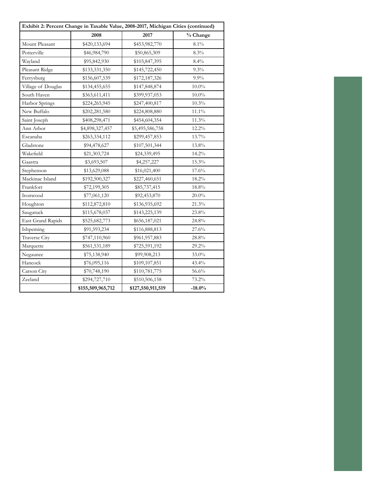| Exhibit 2: Percent Change in Taxable Value, 2008-2017, Michigan Cities (continued) |                   |                   |          |  |  |
|------------------------------------------------------------------------------------|-------------------|-------------------|----------|--|--|
|                                                                                    | 2008              | 2017              | % Change |  |  |
| Mount Pleasant                                                                     | \$420,133,694     | \$453,982,770     | $8.1\%$  |  |  |
| Potterville                                                                        | \$46,984,790      | \$50,865,309      | 8.3%     |  |  |
| Wayland                                                                            | \$95,842,930      | \$103,847,395     | 8.4%     |  |  |
| Pleasant Ridge                                                                     | \$133,331,350     | \$145,722,450     | 9.3%     |  |  |
| Ferrysburg                                                                         | \$156,607,539     | \$172,187,326     | $9.9\%$  |  |  |
| Village of Douglas                                                                 | \$134,455,655     | \$147,848,874     | $10.0\%$ |  |  |
| South Haven                                                                        | \$363,611,411     | \$399,937,053     | $10.0\%$ |  |  |
| Harbor Springs                                                                     | \$224,265,945     | \$247,400,817     | 10.3%    |  |  |
| New Buffalo                                                                        | \$202,281,580     | \$224,808,880     | $11.1\%$ |  |  |
| Saint Joseph                                                                       | \$408,298,471     | \$454,604,354     | 11.3%    |  |  |
| Ann Arbor                                                                          | \$4,898,327,457   | \$5,495,586,758   | 12.2%    |  |  |
| Escanaba                                                                           | \$263,334,112     | \$299,457,853     | 13.7%    |  |  |
| Gladstone                                                                          | \$94,478,627      | \$107,501,344     | 13.8%    |  |  |
| Wakefield                                                                          | \$21,303,724      | \$24,339,495      | 14.2%    |  |  |
| Gaastra                                                                            | \$3,693,507       | \$4,257,227       | 15.3%    |  |  |
| Stephenson                                                                         | \$13,629,088      | \$16,021,400      | 17.6%    |  |  |
| Mackinac Island                                                                    | \$192,500,327     | \$227,460,651     | 18.2%    |  |  |
| Frankfort                                                                          | \$72,199,305      | \$85,737,415      | $18.8\%$ |  |  |
| Ironwood                                                                           | \$77,061,120      | \$92,453,870      | $20.0\%$ |  |  |
| Houghton                                                                           | \$112,872,810     | \$136,935,692     | 21.3%    |  |  |
| Saugatuck                                                                          | \$115,678,037     | \$143,225,139     | 23.8%    |  |  |
| <b>East Grand Rapids</b>                                                           | \$525,682,773     | \$656,187,021     | 24.8%    |  |  |
| Ishpeming                                                                          | \$91,593,234      | \$116,888,813     | 27.6%    |  |  |
| Traverse City                                                                      | \$747,110,960     | \$961,957,883     | 28.8%    |  |  |
| Marquette                                                                          | \$561,531,189     | \$725,591,192     | 29.2%    |  |  |
| Negaunee                                                                           | \$75,138,940      | \$99,908,213      | 33.0%    |  |  |
| Hancock                                                                            | \$76,095,116      | \$109,107,851     | 43.4%    |  |  |
| Carson City                                                                        | \$70,748,190      | \$110,781,775     | 56.6%    |  |  |
| Zeeland                                                                            | \$294,727,710     | \$510,506,158     | 73.2%    |  |  |
|                                                                                    | \$155,509,965,712 | \$127,550,911,519 | $-18.0%$ |  |  |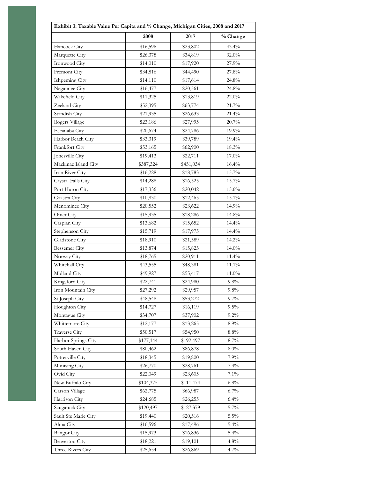| Exhibit 3: Taxable Value Per Capita and % Change, Michigan Cities, 2008 and 2017 |           |           |              |
|----------------------------------------------------------------------------------|-----------|-----------|--------------|
|                                                                                  | 2008      | 2017      | % Change     |
| Hancock City                                                                     | \$16,596  | \$23,802  | 43.4%        |
| Marquette City                                                                   | \$26,378  | \$34,819  | 32.0%        |
| Ironwood City                                                                    | \$14,010  | \$17,920  | 27.9%        |
| Fremont City                                                                     | \$34,816  | \$44,490  | 27.8%        |
| Ishpeming City                                                                   | \$14,110  | \$17,614  | 24.8%        |
| Negaunee City                                                                    | \$16,477  | \$20,561  | 24.8%        |
| Wakefield City                                                                   | \$11,325  | \$13,819  | $22.0\%$     |
| Zeeland City                                                                     | \$52,395  | \$63,774  | 21.7%        |
| Standish City                                                                    | \$21,935  | \$26,633  | 21.4%        |
| Rogers Village                                                                   | \$23,186  | \$27,995  | 20.7%        |
| Escanaba City                                                                    | \$20,674  | \$24,786  | 19.9%        |
| Harbor Beach City                                                                | \$33,319  | \$39,789  | 19.4%        |
| Frankfort City                                                                   | \$53,165  | \$62,900  | 18.3%        |
| Jonesville City                                                                  | \$19,413  | \$22,711  | 17.0%        |
| Mackinac Island City                                                             | \$387,324 | \$451,034 | $16.4\%$     |
| Iron River City                                                                  | \$16,228  | \$18,783  | $15.7\%$     |
| Crystal Falls City                                                               | \$14,288  | \$16,525  | 15.7%        |
| Port Huron City                                                                  | \$17,336  | \$20,042  | 15.6%        |
| Gaastra City                                                                     | \$10,830  | \$12,465  | 15.1%        |
| Menominee City                                                                   | \$20,552  | \$23,622  | 14.9%        |
| Omer City                                                                        | \$15,935  | \$18,286  | 14.8%        |
| Caspian City                                                                     | \$13,682  | \$15,652  | 14.4%        |
| Stephenson City                                                                  | \$15,719  | \$17,975  | 14.4%        |
| Gladstone City                                                                   | \$18,910  | \$21,589  | 14.2%        |
| <b>Bessemer</b> City                                                             | \$13,874  | \$15,823  | 14.0%        |
| Norway City                                                                      | \$18,765  | \$20,911  | $11.4\%$     |
| Whitehall City                                                                   | \$43,555  | \$48,381  | $11.1\%$     |
| Midland City                                                                     | \$49,927  | \$55,417  | $11.0\%$     |
| Kingsford City                                                                   | \$22,741  | \$24,980  | 9.8%         |
| Iron Mountain City                                                               | \$27,292  | \$29,957  | 9.8%         |
| St Joseph City                                                                   | \$48,548  | \$53,272  | 9.7%         |
| Houghton City                                                                    | \$14,727  | \$16,119  | 9.5%         |
| Montague City                                                                    | \$34,707  | \$37,902  | $9.2\%$      |
| Whittemore City                                                                  | \$12,177  | \$13,265  | 8.9%         |
| Traverse City                                                                    | \$50,517  | \$54,950  | 8.8%         |
| Harbor Springs City                                                              | \$177,144 | \$192,497 | 8.7%         |
| South Haven City                                                                 | \$80,462  | \$86,878  | 8.0%         |
| Potterville City                                                                 | \$18,345  | \$19,800  | 7.9%         |
| Munising City                                                                    | \$26,770  | \$28,761  | 7.4%         |
| Ovid City                                                                        | \$22,049  | \$23,605  | 7.1%         |
| New Buffalo City                                                                 | \$104,375 | \$111,474 | 6.8%         |
| Carson Village                                                                   | \$62,775  | \$66,987  | 6.7%         |
| Harrison City                                                                    | \$24,685  | \$26,255  | 6.4%         |
| Saugatuck City                                                                   | \$120,497 |           | 5.7%         |
| Sault Ste Marie City                                                             |           | \$127,379 | 5.5%         |
| Alma City                                                                        | \$19,440  | \$20,516  |              |
|                                                                                  | \$16,596  | \$17,496  | 5.4%<br>5.4% |
| <b>Bangor</b> City                                                               | \$15,973  | \$16,836  |              |
| <b>Beaverton City</b>                                                            | \$18,221  | \$19,101  | 4.8%         |
| Three Rivers City                                                                | \$25,654  | \$26,869  | 4.7%         |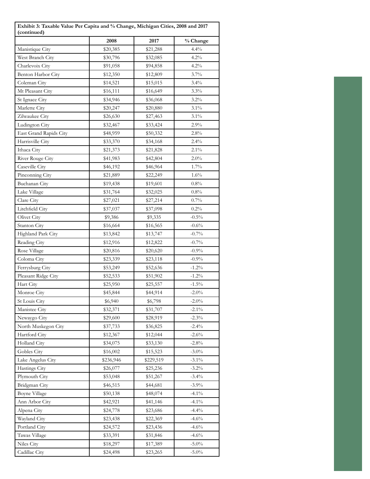| Exhibit 3: Taxable Value Per Capita and % Change, Michigan Cities, 2008 and 2017<br>(continued) |           |           |          |  |
|-------------------------------------------------------------------------------------------------|-----------|-----------|----------|--|
|                                                                                                 | 2008      | 2017      | % Change |  |
| Manistique City                                                                                 | \$20,385  | \$21,288  | 4.4%     |  |
| West Branch City                                                                                | \$30,796  | \$32,085  | 4.2%     |  |
| Charlevoix City                                                                                 | \$91,058  | \$94,858  | $4.2\%$  |  |
| Benton Harbor City                                                                              | \$12,350  | \$12,809  | 3.7%     |  |
| Coleman City                                                                                    | \$14,521  | \$15,015  | $3.4\%$  |  |
| Mt Pleasant City                                                                                | \$16,111  | \$16,649  | 3.3%     |  |
| St Ignace City                                                                                  | \$34,946  | \$36,068  | $3.2\%$  |  |
| Marlette City                                                                                   | \$20,247  | \$20,880  | $3.1\%$  |  |
| Zilwaukee City                                                                                  | \$26,630  | \$27,463  | $3.1\%$  |  |
| Ludington City                                                                                  | \$32,467  | \$33,424  | 2.9%     |  |
| East Grand Rapids City                                                                          | \$48,959  | \$50,332  | $2.8\%$  |  |
| Harrisville City                                                                                | \$33,370  | \$34,168  | $2.4\%$  |  |
| Ithaca City                                                                                     | \$21,373  | \$21,828  | $2.1\%$  |  |
| River Rouge City                                                                                | \$41,983  | \$42,804  | 2.0%     |  |
| Caseville City                                                                                  | \$46,192  | \$46,964  | $1.7\%$  |  |
| Pinconning City                                                                                 | \$21,889  | \$22,249  | 1.6%     |  |
| Buchanan City                                                                                   | \$19,438  | \$19,601  | $0.8\%$  |  |
| Lake Village                                                                                    | \$31,764  | \$32,025  | 0.8%     |  |
| Clare City                                                                                      | \$27,021  | \$27,214  | $0.7\%$  |  |
| Litchfield City                                                                                 | \$37,037  | \$37,098  | $0.2\%$  |  |
| Olivet City                                                                                     | \$9,386   | \$9,335   | $-0.5\%$ |  |
| Stanton City                                                                                    | \$16,664  | \$16,565  | $-0.6%$  |  |
| Highland Park City                                                                              | \$13,842  | \$13,747  | $-0.7\%$ |  |
| Reading City                                                                                    | \$12,916  | \$12,822  | $-0.7\%$ |  |
| Rose Village                                                                                    | \$20,816  | \$20,620  | $-0.9%$  |  |
| Coloma City                                                                                     | \$23,339  | \$23,118  | $-0.9%$  |  |
| Ferrysburg City                                                                                 | \$53,249  | \$52,636  | $-1.2\%$ |  |
| Pleasant Ridge City                                                                             | \$52,533  | \$51,902  | $-1.2\%$ |  |
| Hart City                                                                                       | \$25,950  | \$25,557  | $-1.5\%$ |  |
| Monroe City                                                                                     | \$45,844  | \$44,914  | $-2.0\%$ |  |
| St Louis City                                                                                   | \$6,940   | \$6,798   | $-2.0\%$ |  |
| Manistee City                                                                                   | \$32,371  | \$31,707  | $-2.1\%$ |  |
| Newaygo City                                                                                    | \$29,600  | \$28,919  | $-2.3\%$ |  |
| North Muskegon City                                                                             | \$37,733  | \$36,825  | $-2.4%$  |  |
| Hartford City                                                                                   | \$12,367  | \$12,044  | $-2.6%$  |  |
| Holland City                                                                                    | \$34,075  | \$33,130  | $-2.8%$  |  |
| Gobles City                                                                                     | \$16,002  | \$15,523  | $-3.0\%$ |  |
| Lake Angelus City                                                                               | \$236,946 | \$229,519 | $-3.1\%$ |  |
| Hastings City                                                                                   | \$26,077  | \$25,236  | $-3.2\%$ |  |
| Plymouth City                                                                                   | \$53,048  | \$51,267  | $-3.4%$  |  |
| Bridgman City                                                                                   | \$46,515  | \$44,681  | $-3.9\%$ |  |
| <b>Boyne Village</b>                                                                            | \$50,138  | \$48,074  | $-4.1\%$ |  |
| Ann Arbor City                                                                                  | \$42,921  | \$41,146  | $-4.1\%$ |  |
| Alpena City                                                                                     | \$24,778  | \$23,686  | $-4.4%$  |  |
| Wayland City                                                                                    | \$23,438  | \$22,369  | $-4.6%$  |  |
| Portland City                                                                                   | \$24,572  | \$23,436  | $-4.6%$  |  |
| Tawas Village                                                                                   | \$33,391  | \$31,846  | $-4.6%$  |  |
| Niles City                                                                                      | \$18,297  | \$17,389  | $-5.0\%$ |  |
| Cadillac City                                                                                   | \$24,498  | \$23,265  | $-5.0\%$ |  |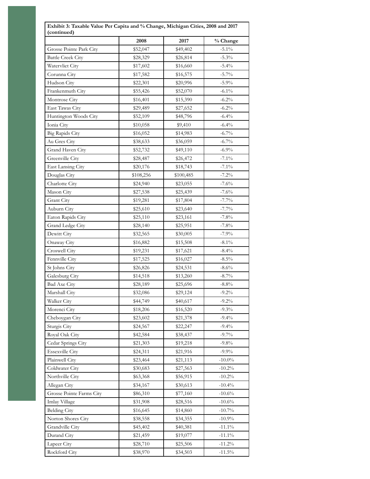|                                | 2008                 | 2017      | % Change  |
|--------------------------------|----------------------|-----------|-----------|
| Grosse Pointe Park City        | \$52,047             | \$49,402  | $-5.1\%$  |
| <b>Battle Creek City</b>       | \$28,329             | \$26,814  | $-5.3\%$  |
| Watervliet City                | \$17,602             | \$16,660  | $-5.4%$   |
| Corunna City                   | \$17,582             | \$16,575  | $-5.7\%$  |
| Hudson City                    | \$22,301             | \$20,996  | $-5.9\%$  |
| Frankenmuth City               | \$55,426             | \$52,070  | $-6.1\%$  |
| Montrose City                  | \$16,401             | \$15,390  | $-6.2\%$  |
| East Tawas City                | \$29,489             | \$27,652  | $-6.2\%$  |
| Huntington Woods City          | \$52,109             | \$48,796  | $-6.4%$   |
| Ionia City                     | \$10,058             | \$9,410   | $-6.4%$   |
| <b>Big Rapids City</b>         | \$16,052             | \$14,983  | $-6.7\%$  |
| Au Gres City                   | \$38,633             | \$36,059  | $-6.7\%$  |
| Grand Haven City               |                      | \$49,110  | $-6.9\%$  |
| Greenville City                | \$52,732<br>\$28,487 |           | $-7.1\%$  |
| East Lansing City              |                      | \$26,472  | $-7.1\%$  |
|                                | \$20,176             | \$18,743  | $-7.2%$   |
| Douglas City<br>Charlotte City | \$108,256            | \$100,485 | $-7.6%$   |
|                                | \$24,940             | \$23,055  |           |
| Mason City                     | \$27,538             | \$25,439  | $-7.6%$   |
| Grant City                     | \$19,281             | \$17,804  | $-7.7\%$  |
| Auburn City                    | \$25,610             | \$23,640  | $-7.7\%$  |
| Eaton Rapids City              | \$25,110             | \$23,161  | $-7.8%$   |
| Grand Ledge City               | \$28,140             | \$25,951  | $-7.8%$   |
| Dewitt City                    | \$32,565             | \$30,005  | $-7.9%$   |
| Onaway City                    | \$16,882             | \$15,508  | $-8.1\%$  |
| Croswell City                  | \$19,231             | \$17,621  | $-8.4\%$  |
| Fennville City                 | \$17,525             | \$16,027  | $-8.5\%$  |
| St Johns City                  | \$26,826             | \$24,531  | $-8.6\%$  |
| Galesburg City                 | \$14,518             | \$13,260  | $-8.7\%$  |
| <b>Bad Axe City</b>            | \$28,189             | \$25,696  | $-8.8\%$  |
| Marshall City                  | \$32,086             | \$29,124  | $-9.2\%$  |
| Walker City                    | \$44,749             | \$40,617  | $-9.2%$   |
| Morenci City                   | \$18,206             | \$16,520  | $-9.3%$   |
| Cheboygan City                 | \$23,602             | \$21,378  | $-9.4%$   |
| Sturgis City                   | \$24,567             | \$22,247  | $-9.4%$   |
| Royal Oak City                 | \$42,584             | \$38,437  | $-9.7\%$  |
| Cedar Springs City             | \$21,303             | \$19,218  | $-9.8\%$  |
| <b>Essexville City</b>         | \$24,311             | \$21,916  | $-9.9\%$  |
| Plainwell City                 | \$23,464             | \$21,113  | $-10.0\%$ |
| Coldwater City                 | \$30,683             | \$27,563  | $-10.2%$  |
| Northville City                | \$63,368             | \$56,915  | $-10.2\%$ |
| Allegan City                   | \$34,167             | \$30,613  | $-10.4\%$ |
| Grosse Pointe Farms City       | \$86,310             | \$77,160  | $-10.6\%$ |
| Imlay Village                  | \$31,908             | \$28,516  | $-10.6%$  |
| <b>Belding City</b>            | \$16,645             | \$14,860  | $-10.7\%$ |
| Norton Shores City             | \$38,558             | \$34,355  | $-10.9\%$ |
| Grandville City                | \$45,402             | \$40,381  | $-11.1\%$ |
| Durand City                    | \$21,459             | \$19,077  | $-11.1\%$ |
| Lapeer City                    | \$28,710             | \$25,506  | $-11.2\%$ |
| Rockford City                  | \$38,970             | \$34,503  | $-11.5\%$ |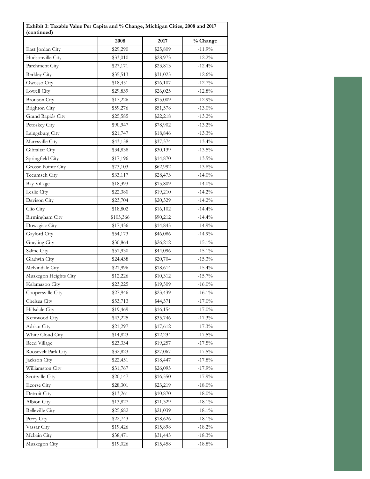| Exhibit 3: Taxable Value Per Capita and % Change, Michigan Cities, 2008 and 2017<br>(continued) |           |          |                    |  |
|-------------------------------------------------------------------------------------------------|-----------|----------|--------------------|--|
|                                                                                                 | 2008      | 2017     | % Change           |  |
| East Jordan City                                                                                | \$29,290  | \$25,809 | $-11.9%$           |  |
| Hudsonville City                                                                                | \$33,010  | \$28,973 | $-12.2%$           |  |
| Parchment City                                                                                  | \$27,171  | \$23,813 | $\textbf{-12.4}\%$ |  |
| <b>Berkley City</b>                                                                             | \$35,513  | \$31,025 | $-12.6%$           |  |
| Owosso City                                                                                     | \$18,451  | \$16,107 | $-12.7\%$          |  |
| Lowell City                                                                                     | \$29,839  | \$26,025 | $-12.8%$           |  |
| <b>Bronson</b> City                                                                             | \$17,226  | \$15,009 | $-12.9%$           |  |
| <b>Brighton City</b>                                                                            | \$59,276  | \$51,578 | $-13.0\%$          |  |
| Grand Rapids City                                                                               | \$25,585  | \$22,218 | $-13.2\%$          |  |
| Petoskey City                                                                                   | \$90,947  | \$78,902 | $-13.2\%$          |  |
| Laingsburg City                                                                                 | \$21,747  | \$18,846 | $-13.3\%$          |  |
| Marysville City                                                                                 | \$43,158  | \$37,374 | $-13.4\%$          |  |
| Gibraltar City                                                                                  | \$34,838  | \$30,139 | $-13.5\%$          |  |
| Springfield City                                                                                | \$17,196  | \$14,870 | $-13.5\%$          |  |
| Grosse Pointe City                                                                              | \$73,103  | \$62,992 | $-13.8\%$          |  |
| Tecumseh City                                                                                   | \$33,117  | \$28,473 | $-14.0\%$          |  |
| <b>Bay Village</b>                                                                              | \$18,393  | \$15,809 | $-14.0\%$          |  |
| Leslie City                                                                                     | \$22,380  | \$19,210 | $-14.2\%$          |  |
| Davison City                                                                                    | \$23,704  | \$20,329 | $-14.2\%$          |  |
| Clio City                                                                                       | \$18,802  | \$16,102 | $-14.4%$           |  |
| Birmingham City                                                                                 | \$105,366 | \$90,212 | $-14.4\%$          |  |
| Dowagiac City                                                                                   | \$17,436  | \$14,845 | $-14.9%$           |  |
| Gaylord City                                                                                    | \$54,173  | \$46,086 | $-14.9%$           |  |
| Grayling City                                                                                   | \$30,864  | \$26,212 | $-15.1\%$          |  |
| Saline City                                                                                     | \$51,930  | \$44,096 | $-15.1\%$          |  |
| Gladwin City                                                                                    | \$24,438  | \$20,704 | $-15.3\%$          |  |
| Melvindale City                                                                                 | \$21,996  | \$18,614 | $-15.4\%$          |  |
| Muskegon Heights City                                                                           | \$12,226  | \$10,312 | $-15.7\%$          |  |
| Kalamazoo City                                                                                  | \$23,225  | \$19,509 | $-16.0\%$          |  |
| Coopersville City                                                                               | \$27,946  | \$23,439 | $-16.1\%$          |  |
| Chelsea City                                                                                    | \$53,713  | \$44,571 | $-17.0\%$          |  |
| Hillsdale City                                                                                  | \$19,469  | \$16,154 | $-17.0\%$          |  |
| Kentwood City                                                                                   | \$43,225  | \$35,746 | $-17.3\%$          |  |
| Adrian City                                                                                     | \$21,297  | \$17,612 | $-17.3%$           |  |
| White Cloud City                                                                                | \$14,823  | \$12,234 | $-17.5\%$          |  |
| Reed Village                                                                                    | \$23,334  | \$19,257 | $-17.5\%$          |  |
| Roosevelt Park City                                                                             | \$32,823  | \$27,067 | $-17.5\%$          |  |
| Jackson City                                                                                    | \$22,451  | \$18,447 | $-17.8%$           |  |
| Williamston City                                                                                | \$31,767  | \$26,095 | $-17.9%$           |  |
| Scottville City                                                                                 | \$20,147  | \$16,550 | $-17.9%$           |  |
| <b>Ecorse City</b>                                                                              | \$28,301  | \$23,219 | $-18.0\%$          |  |
| Detroit City                                                                                    | \$13,261  | \$10,870 | $\textbf{-18.0}\%$ |  |
| Albion City                                                                                     | \$13,827  | \$11,329 | $-18.1\%$          |  |
| <b>Belleville City</b>                                                                          | \$25,682  | \$21,039 | $-18.1\%$          |  |
| Perry City                                                                                      | \$22,743  | \$18,626 | $-18.1\%$          |  |
| Vassar City                                                                                     | \$19,426  | \$15,898 | $-18.2\%$          |  |
| Mcbain City                                                                                     | \$38,471  | \$31,445 | $-18.3\%$          |  |
| Muskegon City                                                                                   | \$19,026  | \$15,458 | $\textbf{-18.8}\%$ |  |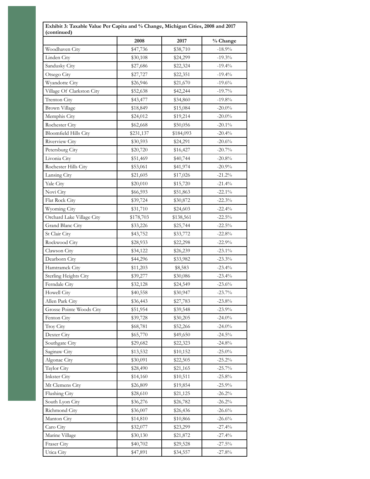|                           | 2008      | 2017      | % Change         |
|---------------------------|-----------|-----------|------------------|
| Woodhaven City            | \$47,736  | \$38,710  | $-18.9\%$        |
| Linden City               | \$30,108  | \$24,299  | $-19.3%$         |
| Sandusky City             | \$27,686  | \$22,324  | $-19.4%$         |
| Otsego City               | \$27,727  | \$22,351  | $-19.4%$         |
| Wyandotte City            |           |           | $-19.6%$         |
| Village Of Clarkston City | \$26,946  | \$21,670  |                  |
|                           | \$52,638  | \$42,244  | $-19.7\%$        |
| Trenton City              | \$43,477  | \$34,860  | $-19.8%$         |
| Brown Village             | \$18,849  | \$15,084  | $-20.0\%$        |
| Memphis City              | \$24,012  | \$19,214  | $-20.0\%$        |
| Rochester City            | \$62,668  | \$50,056  | $-20.1\%$        |
| Bloomfield Hills City     | \$231,137 | \$184,093 | $-20.4%$         |
| Riverview City            | \$30,593  | \$24,291  | $-20.6%$         |
| Petersburg City           | \$20,720  | \$16,427  | $-20.7%$         |
| Livonia City              | \$51,469  | \$40,744  | $-20.8%$         |
| Rochester Hills City      | \$53,061  | \$41,974  | $-20.9%$         |
| Lansing City              | \$21,605  | \$17,026  | $-21.2%$         |
| Yale City                 | \$20,010  | \$15,720  | $\text{-}21.4\%$ |
| Novi City                 | \$66,593  | \$51,863  | $-22.1\%$        |
| Flat Rock City            | \$39,724  | \$30,872  | $-22.3%$         |
| Wyoming City              | \$31,710  | \$24,603  | $-22.4%$         |
| Orchard Lake Village City | \$178,703 | \$138,561 | $-22.5\%$        |
| Grand Blanc City          | \$33,226  | \$25,744  | $-22.5%$         |
| St Clair City             | \$43,752  | \$33,772  | $-22.8%$         |
| Rockwood City             | \$28,933  | \$22,298  | $-22.9%$         |
| Clawson City              | \$34,122  | \$26,239  | $-23.1\%$        |
| Dearborn City             | \$44,296  | \$33,982  | $-23.3%$         |
| Hamtramck City            | \$11,203  | \$8,583   | $-23.4%$         |
| Sterling Heights City     | \$39,277  | \$30,086  | $-23.4%$         |
| Ferndale City             | \$32,128  | \$24,549  | $-23.6%$         |
| <b>Howell City</b>        | \$40,558  | \$30,947  | $-23.7%$         |
| Allen Park City           | \$36,443  | \$27,783  | $-23.8%$         |
| Grosse Pointe Woods City  | \$51,954  | \$39,548  | $-23.9%$         |
| Fenton City               | \$39,728  | \$30,205  | $-24.0%$         |
| Troy City                 | \$68,781  | \$52,266  | $-24.0%$         |
| Dexter City               | \$65,770  | \$49,650  | $-24.5%$         |
| Southgate City            | \$29,682  | \$22,323  | $-24.8%$         |
| Saginaw City              | \$13,532  | \$10,152  | $-25.0\%$        |
| Algonac City              | \$30,091  | \$22,505  | $-25.2%$         |
| Taylor City               | \$28,490  | \$21,165  | $-25.7%$         |
| <b>Inkster City</b>       | \$14,160  | \$10,511  | $-25.8%$         |
| Mt Clemens City           |           |           | $-25.9%$         |
|                           | \$26,809  | \$19,854  |                  |
| Flushing City             | \$28,610  | \$21,125  | $-26.2%$         |
| South Lyon City           | \$36,276  | \$26,782  | $-26.2%$         |
| Richmond City             | \$36,007  | \$26,436  | $-26.6%$         |
| Manton City               | \$14,810  | \$10,866  | $-26.6%$         |
| Caro City                 | \$32,077  | \$23,299  | $-27.4%$         |
| Marine Village            | \$30,130  | \$21,872  | $-27.4%$         |
| Fraser City               | \$40,702  | \$29,528  | $-27.5%$         |
| Utica City                | \$47,891  | \$34,557  | $-27.8%$         |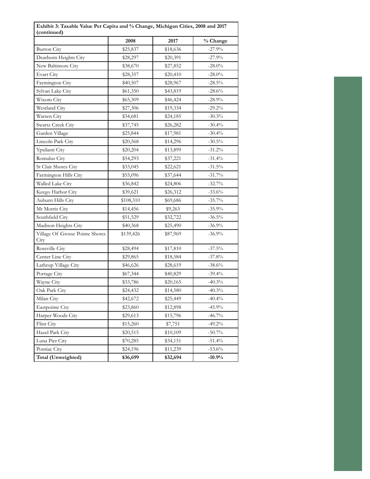|                                         | 2008      | 2017                 | % Change  |  |
|-----------------------------------------|-----------|----------------------|-----------|--|
| <b>Burton City</b>                      | \$25,837  | \$18,636             | $-27.9%$  |  |
| Dearborn Heights City                   | \$28,297  | \$20,391             | $-27.9%$  |  |
| New Baltimore City                      | \$38,670  | \$27,852             | $-28.0\%$ |  |
| Evart City                              | \$28,357  | \$20,410             | $-28.0\%$ |  |
| Farmington City                         | \$40,507  | \$28,967             | $-28.5\%$ |  |
| Sylvan Lake City                        | \$61,350  | \$43,819             | $-28.6%$  |  |
| Wixom City                              | \$65,309  | \$46,424             | $-28.9%$  |  |
| Westland City                           | \$27,306  | \$19,334             | $-29.2%$  |  |
| Warren City                             | \$34,681  | \$24,185             | $-30.3%$  |  |
| Swartz Creek City                       | \$37,745  |                      | $-30.4%$  |  |
| Garden Village                          | \$25,844  | \$26,282<br>\$17,981 | $-30.4\%$ |  |
| Lincoln Park City                       | \$20,568  | \$14,296             | $-30.5\%$ |  |
| Ypsilanti City                          | \$20,204  | \$13,899             | $-31.2%$  |  |
| Romulus City                            | \$54,293  | \$37,221             | $-31.4%$  |  |
| St Clair Shores City                    | \$33,045  | \$22,621             | $-31.5\%$ |  |
| Farmington Hills City                   | \$55,096  | \$37,644             | $-31.7%$  |  |
| Walled Lake City                        | \$36,842  | \$24,806             | $-32.7\%$ |  |
| Keego Harbor City                       | \$39,621  | \$26,312             | $-33.6%$  |  |
| Auburn Hills City                       | \$108,310 | \$69,686             | $-35.7\%$ |  |
| Mt Morris City                          | \$14,456  | \$9,263              | $-35.9%$  |  |
| Southfield City                         | \$51,529  | \$32,722             | $-36.5%$  |  |
| Madison Heights City                    | \$40,368  | \$25,490             | $-36.9%$  |  |
| Village Of Grosse Pointe Shores<br>City | \$139,426 | \$87,969             | $-36.9%$  |  |
| Roseville City                          | \$28,494  | \$17,810             | $-37.5%$  |  |
| Center Line City                        | \$29,865  | \$18,584             | $-37.8%$  |  |
| Lathrup Village City                    | \$46,626  | \$28,619             | $-38.6%$  |  |
| Portage City                            | \$67,344  | \$40,829             | $-39.4%$  |  |
| Wayne City                              | \$33,786  | \$20,165             | $-40.3%$  |  |
| Oak Park City                           | \$24,432  | \$14,580             | $-40.3%$  |  |
| Milan City                              | \$42,672  | \$25,449             | $-40.4%$  |  |
| Eastpointe City                         | \$23,860  | \$12,898             | $-45.9%$  |  |
| Harper Woods City                       | \$29,613  | \$15,796             | $-46.7\%$ |  |
| Flint City                              | \$15,260  | \$7,751              | $-49.2%$  |  |
| Hazel Park City                         | \$20,515  | \$10,109             | $-50.7\%$ |  |
| Luna Pier City                          | \$70,285  | \$34,151             | $-51.4%$  |  |
| Pontiac City                            | \$24,196  | \$11,239             | $-53.6%$  |  |
| Total (Unweighted)                      | \$36,699  | \$32,694             | $-10.9%$  |  |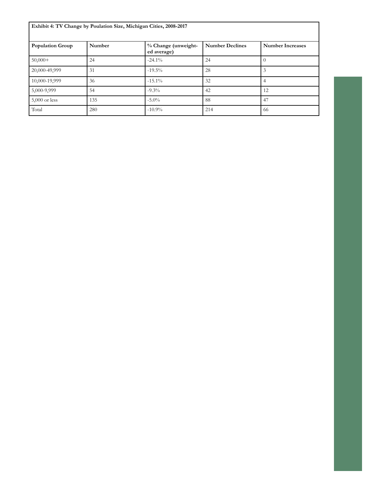| Exhibit 4: TV Change by Poulation Size, Michigan Cities, 2008-2017 |        |                                    |                        |                         |
|--------------------------------------------------------------------|--------|------------------------------------|------------------------|-------------------------|
| <b>Population Group</b>                                            | Number | % Change (unweight-<br>ed average) | <b>Number Declines</b> | <b>Number Increases</b> |
| $50,000+$                                                          | 24     | $-24.1\%$                          | 24                     | $\left( \right)$        |
| 20,000-49,999                                                      | 31     | $-19.5%$                           | 28                     | 3                       |
| 10,000-19,999                                                      | 36     | $-15.1\%$                          | 32                     | $\overline{4}$          |
| 5,000-9,999                                                        | 54     | $-9.3\%$                           | 42                     | 12                      |
| $5,000$ or less                                                    | 135    | $-5.0\%$                           | 88                     | 47                      |
| Total                                                              | 280    | $-10.9\%$                          | 214                    | -66                     |